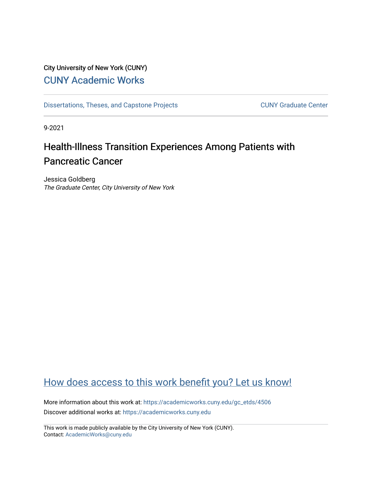# City University of New York (CUNY) [CUNY Academic Works](https://academicworks.cuny.edu/)

[Dissertations, Theses, and Capstone Projects](https://academicworks.cuny.edu/gc_etds) CUNY Graduate Center

9-2021

# Health-Illness Transition Experiences Among Patients with Pancreatic Cancer

Jessica Goldberg The Graduate Center, City University of New York

# [How does access to this work benefit you? Let us know!](http://ols.cuny.edu/academicworks/?ref=https://academicworks.cuny.edu/gc_etds/4506)

More information about this work at: [https://academicworks.cuny.edu/gc\\_etds/4506](https://academicworks.cuny.edu/gc_etds/4506) Discover additional works at: [https://academicworks.cuny.edu](https://academicworks.cuny.edu/?)

This work is made publicly available by the City University of New York (CUNY). Contact: [AcademicWorks@cuny.edu](mailto:AcademicWorks@cuny.edu)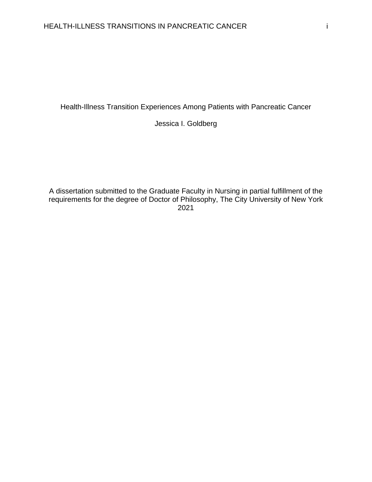Health-Illness Transition Experiences Among Patients with Pancreatic Cancer

Jessica I. Goldberg

A dissertation submitted to the Graduate Faculty in Nursing in partial fulfillment of the requirements for the degree of Doctor of Philosophy, The City University of New York 2021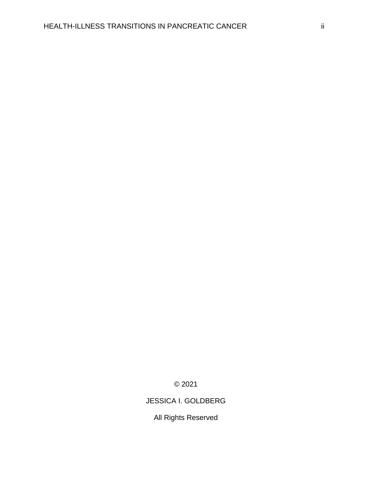© 2021

# JESSICA I. GOLDBERG

All Rights Reserved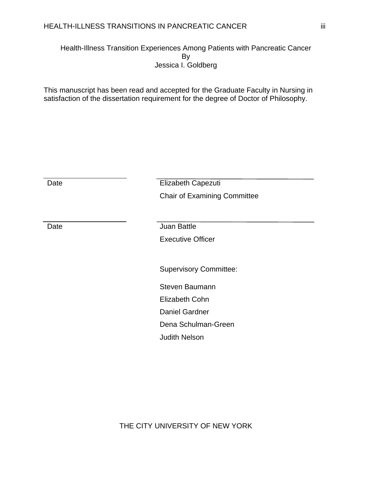Health-Illness Transition Experiences Among Patients with Pancreatic Cancer By Jessica I. Goldberg

This manuscript has been read and accepted for the Graduate Faculty in Nursing in satisfaction of the dissertation requirement for the degree of Doctor of Philosophy.

| Date | Elizabeth Capezuti                  |
|------|-------------------------------------|
|      | <b>Chair of Examining Committee</b> |
|      |                                     |
| Date | <b>Juan Battle</b>                  |
|      | <b>Executive Officer</b>            |
|      |                                     |
|      | <b>Supervisory Committee:</b>       |
|      | Steven Baumann                      |
|      | <b>Elizabeth Cohn</b>               |
|      | <b>Daniel Gardner</b>               |
|      | Dena Schulman-Green                 |
|      | <b>Judith Nelson</b>                |
|      |                                     |

THE CITY UNIVERSITY OF NEW YORK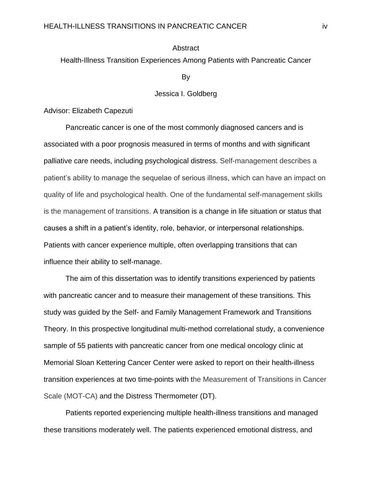#### **Abstract**

Health-Illness Transition Experiences Among Patients with Pancreatic Cancer

By

# Jessica I. Goldberg

Advisor: Elizabeth Capezuti

Pancreatic cancer is one of the most commonly diagnosed cancers and is associated with a poor prognosis measured in terms of months and with significant palliative care needs, including psychological distress. Self-management describes a patient's ability to manage the sequelae of serious illness, which can have an impact on quality of life and psychological health. One of the fundamental self-management skills is the management of transitions. A transition is a change in life situation or status that causes a shift in a patient's identity, role, behavior, or interpersonal relationships. Patients with cancer experience multiple, often overlapping transitions that can influence their ability to self-manage.

The aim of this dissertation was to identify transitions experienced by patients with pancreatic cancer and to measure their management of these transitions. This study was guided by the Self- and Family Management Framework and Transitions Theory. In this prospective longitudinal multi-method correlational study, a convenience sample of 55 patients with pancreatic cancer from one medical oncology clinic at Memorial Sloan Kettering Cancer Center were asked to report on their health-illness transition experiences at two time-points with the Measurement of Transitions in Cancer Scale (MOT-CA) and the Distress Thermometer (DT).

Patients reported experiencing multiple health-illness transitions and managed these transitions moderately well. The patients experienced emotional distress, and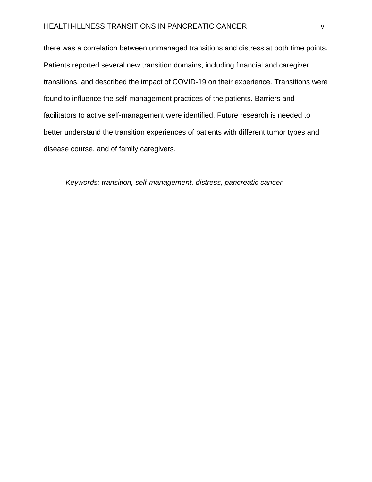# HEALTH-ILLNESS TRANSITIONS IN PANCREATIC CANCER v

there was a correlation between unmanaged transitions and distress at both time points. Patients reported several new transition domains, including financial and caregiver transitions, and described the impact of COVID-19 on their experience. Transitions were found to influence the self-management practices of the patients. Barriers and facilitators to active self-management were identified. Future research is needed to better understand the transition experiences of patients with different tumor types and disease course, and of family caregivers.

*Keywords: transition, self-management, distress, pancreatic cancer*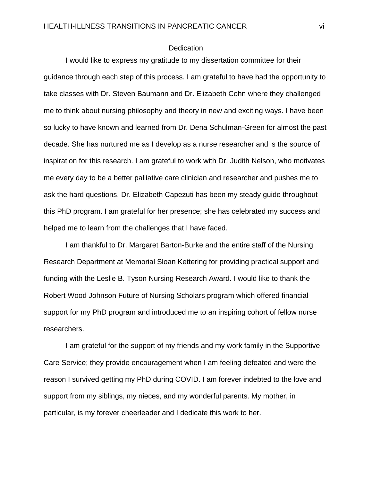#### **Dedication**

I would like to express my gratitude to my dissertation committee for their guidance through each step of this process. I am grateful to have had the opportunity to take classes with Dr. Steven Baumann and Dr. Elizabeth Cohn where they challenged me to think about nursing philosophy and theory in new and exciting ways. I have been so lucky to have known and learned from Dr. Dena Schulman-Green for almost the past decade. She has nurtured me as I develop as a nurse researcher and is the source of inspiration for this research. I am grateful to work with Dr. Judith Nelson, who motivates me every day to be a better palliative care clinician and researcher and pushes me to ask the hard questions. Dr. Elizabeth Capezuti has been my steady guide throughout this PhD program. I am grateful for her presence; she has celebrated my success and helped me to learn from the challenges that I have faced.

I am thankful to Dr. Margaret Barton-Burke and the entire staff of the Nursing Research Department at Memorial Sloan Kettering for providing practical support and funding with the Leslie B. Tyson Nursing Research Award. I would like to thank the Robert Wood Johnson Future of Nursing Scholars program which offered financial support for my PhD program and introduced me to an inspiring cohort of fellow nurse researchers.

I am grateful for the support of my friends and my work family in the Supportive Care Service; they provide encouragement when I am feeling defeated and were the reason I survived getting my PhD during COVID. I am forever indebted to the love and support from my siblings, my nieces, and my wonderful parents. My mother, in particular, is my forever cheerleader and I dedicate this work to her.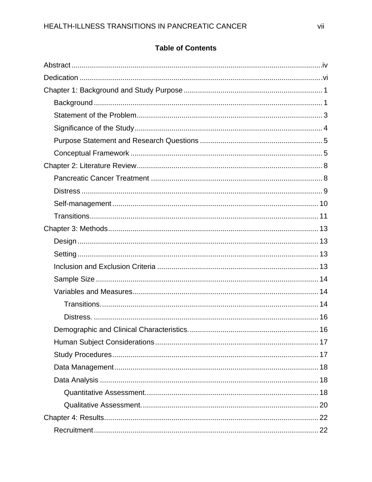# **Table of Contents**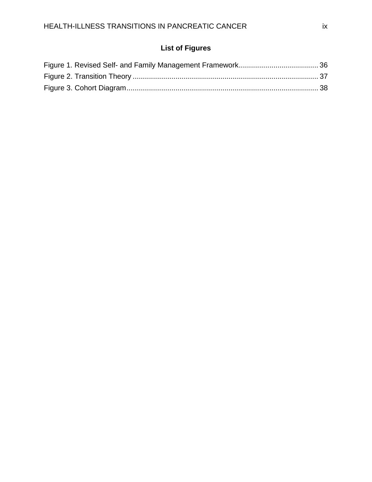# **List of Figures**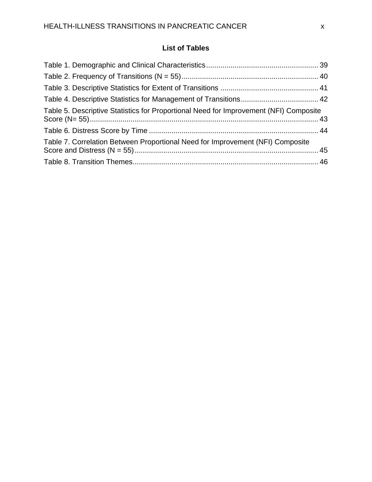# **List of Tables**

| Table 5. Descriptive Statistics for Proportional Need for Improvement (NFI) Composite |  |
|---------------------------------------------------------------------------------------|--|
|                                                                                       |  |
| Table 7. Correlation Between Proportional Need for Improvement (NFI) Composite        |  |
|                                                                                       |  |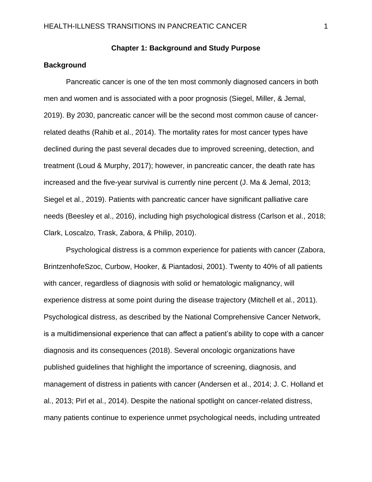# **Chapter 1: Background and Study Purpose**

## **Background**

 Pancreatic cancer is one of the ten most commonly diagnosed cancers in both men and women and is associated with a poor prognosis (Siegel, Miller, & Jemal, 2019). By 2030, pancreatic cancer will be the second most common cause of cancerrelated deaths (Rahib et al., 2014). The mortality rates for most cancer types have declined during the past several decades due to improved screening, detection, and treatment (Loud & Murphy, 2017); however, in pancreatic cancer, the death rate has increased and the five-year survival is currently nine percent (J. Ma & Jemal, 2013; Siegel et al., 2019). Patients with pancreatic cancer have significant palliative care needs (Beesley et al., 2016), including high psychological distress (Carlson et al., 2018; Clark, Loscalzo, Trask, Zabora, & Philip, 2010).

 Psychological distress is a common experience for patients with cancer (Zabora, BrintzenhofeSzoc, Curbow, Hooker, & Piantadosi, 2001). Twenty to 40% of all patients with cancer, regardless of diagnosis with solid or hematologic malignancy, will experience distress at some point during the disease trajectory (Mitchell et al., 2011). Psychological distress, as described by the National Comprehensive Cancer Network, is a multidimensional experience that can affect a patient's ability to cope with a cancer diagnosis and its consequences (2018). Several oncologic organizations have published guidelines that highlight the importance of screening, diagnosis, and management of distress in patients with cancer (Andersen et al., 2014; J. C. Holland et al., 2013; Pirl et al., 2014). Despite the national spotlight on cancer-related distress, many patients continue to experience unmet psychological needs, including untreated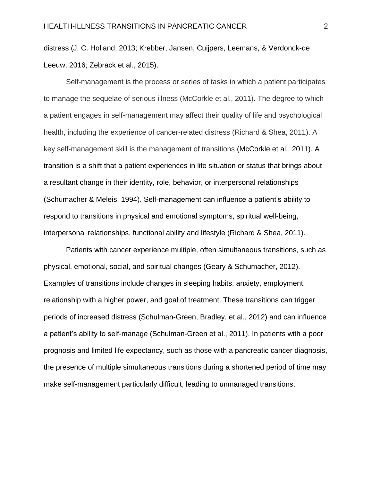distress (J. C. Holland, 2013; Krebber, Jansen, Cuijpers, Leemans, & Verdonck-de Leeuw, 2016; Zebrack et al., 2015).

 Self-management is the process or series of tasks in which a patient participates to manage the sequelae of serious illness (McCorkle et al., 2011). The degree to which a patient engages in self-management may affect their quality of life and psychological health, including the experience of cancer-related distress (Richard & Shea, 2011). A key self-management skill is the management of transitions (McCorkle et al., 2011). A transition is a shift that a patient experiences in life situation or status that brings about a resultant change in their identity, role, behavior, or interpersonal relationships (Schumacher & Meleis, 1994). Self-management can influence a patient's ability to respond to transitions in physical and emotional symptoms, spiritual well-being, interpersonal relationships, functional ability and lifestyle (Richard & Shea, 2011).

 Patients with cancer experience multiple, often simultaneous transitions, such as physical, emotional, social, and spiritual changes (Geary & Schumacher, 2012). Examples of transitions include changes in sleeping habits, anxiety, employment, relationship with a higher power, and goal of treatment. These transitions can trigger periods of increased distress (Schulman-Green, Bradley, et al., 2012) and can influence a patient's ability to self-manage (Schulman-Green et al., 2011). In patients with a poor prognosis and limited life expectancy, such as those with a pancreatic cancer diagnosis, the presence of multiple simultaneous transitions during a shortened period of time may make self-management particularly difficult, leading to unmanaged transitions.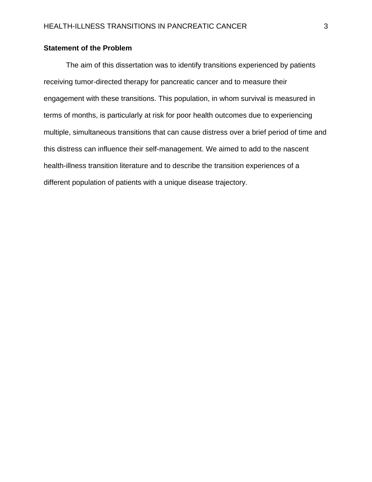# **Statement of the Problem**

 The aim of this dissertation was to identify transitions experienced by patients receiving tumor-directed therapy for pancreatic cancer and to measure their engagement with these transitions. This population, in whom survival is measured in terms of months, is particularly at risk for poor health outcomes due to experiencing multiple, simultaneous transitions that can cause distress over a brief period of time and this distress can influence their self-management. We aimed to add to the nascent health-illness transition literature and to describe the transition experiences of a different population of patients with a unique disease trajectory.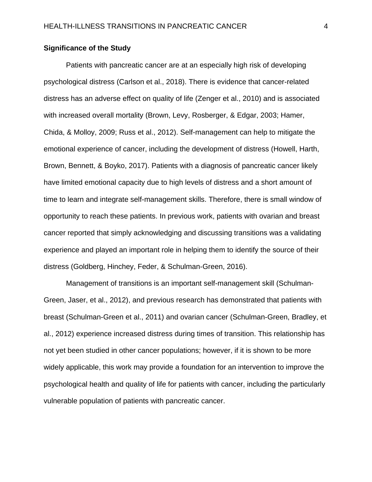# **Significance of the Study**

 Patients with pancreatic cancer are at an especially high risk of developing psychological distress (Carlson et al., 2018). There is evidence that cancer-related distress has an adverse effect on quality of life (Zenger et al., 2010) and is associated with increased overall mortality (Brown, Levy, Rosberger, & Edgar, 2003; Hamer, Chida, & Molloy, 2009; Russ et al., 2012). Self-management can help to mitigate the emotional experience of cancer, including the development of distress (Howell, Harth, Brown, Bennett, & Boyko, 2017). Patients with a diagnosis of pancreatic cancer likely have limited emotional capacity due to high levels of distress and a short amount of time to learn and integrate self-management skills. Therefore, there is small window of opportunity to reach these patients. In previous work, patients with ovarian and breast cancer reported that simply acknowledging and discussing transitions was a validating experience and played an important role in helping them to identify the source of their distress (Goldberg, Hinchey, Feder, & Schulman-Green, 2016).

 Management of transitions is an important self-management skill (Schulman-Green, Jaser, et al., 2012), and previous research has demonstrated that patients with breast (Schulman-Green et al., 2011) and ovarian cancer (Schulman-Green, Bradley, et al., 2012) experience increased distress during times of transition. This relationship has not yet been studied in other cancer populations; however, if it is shown to be more widely applicable, this work may provide a foundation for an intervention to improve the psychological health and quality of life for patients with cancer, including the particularly vulnerable population of patients with pancreatic cancer.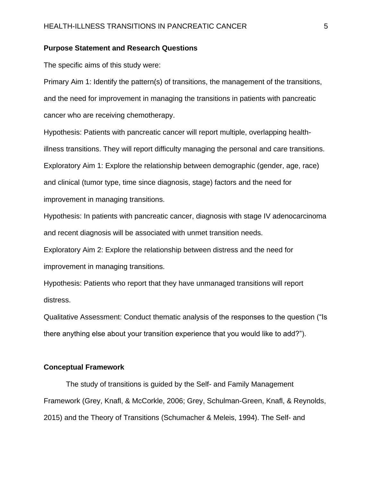# **Purpose Statement and Research Questions**

The specific aims of this study were:

Primary Aim 1: Identify the pattern(s) of transitions, the management of the transitions, and the need for improvement in managing the transitions in patients with pancreatic cancer who are receiving chemotherapy.

Hypothesis: Patients with pancreatic cancer will report multiple, overlapping healthillness transitions. They will report difficulty managing the personal and care transitions. Exploratory Aim 1: Explore the relationship between demographic (gender, age, race) and clinical (tumor type, time since diagnosis, stage) factors and the need for improvement in managing transitions.

Hypothesis: In patients with pancreatic cancer, diagnosis with stage IV adenocarcinoma and recent diagnosis will be associated with unmet transition needs.

Exploratory Aim 2: Explore the relationship between distress and the need for improvement in managing transitions.

Hypothesis: Patients who report that they have unmanaged transitions will report distress.

Qualitative Assessment: Conduct thematic analysis of the responses to the question ("Is there anything else about your transition experience that you would like to add?").

#### **Conceptual Framework**

 The study of transitions is guided by the Self- and Family Management Framework (Grey, Knafl, & McCorkle, 2006; Grey, Schulman-Green, Knafl, & Reynolds, 2015) and the Theory of Transitions (Schumacher & Meleis, 1994). The Self- and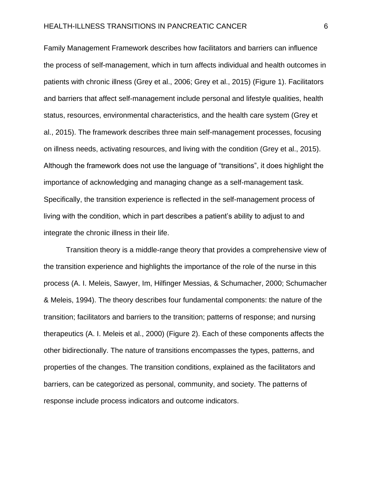Family Management Framework describes how facilitators and barriers can influence the process of self-management, which in turn affects individual and health outcomes in patients with chronic illness (Grey et al., 2006; Grey et al., 2015) (Figure 1). Facilitators and barriers that affect self-management include personal and lifestyle qualities, health status, resources, environmental characteristics, and the health care system (Grey et al., 2015). The framework describes three main self-management processes, focusing on illness needs, activating resources, and living with the condition (Grey et al., 2015). Although the framework does not use the language of "transitions", it does highlight the importance of acknowledging and managing change as a self-management task. Specifically, the transition experience is reflected in the self-management process of living with the condition, which in part describes a patient's ability to adjust to and integrate the chronic illness in their life.

 Transition theory is a middle-range theory that provides a comprehensive view of the transition experience and highlights the importance of the role of the nurse in this process (A. I. Meleis, Sawyer, Im, Hilfinger Messias, & Schumacher, 2000; Schumacher & Meleis, 1994). The theory describes four fundamental components: the nature of the transition; facilitators and barriers to the transition; patterns of response; and nursing therapeutics (A. I. Meleis et al., 2000) (Figure 2). Each of these components affects the other bidirectionally. The nature of transitions encompasses the types, patterns, and properties of the changes. The transition conditions, explained as the facilitators and barriers, can be categorized as personal, community, and society. The patterns of response include process indicators and outcome indicators.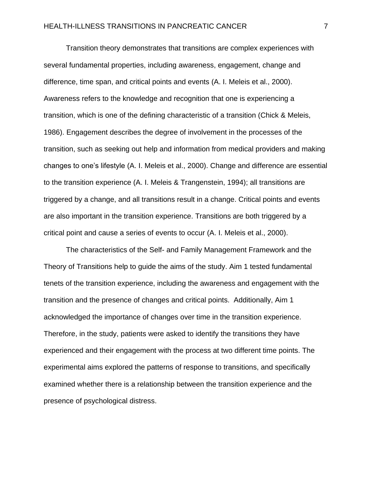Transition theory demonstrates that transitions are complex experiences with several fundamental properties, including awareness, engagement, change and difference, time span, and critical points and events (A. I. Meleis et al., 2000). Awareness refers to the knowledge and recognition that one is experiencing a transition, which is one of the defining characteristic of a transition (Chick & Meleis, 1986). Engagement describes the degree of involvement in the processes of the transition, such as seeking out help and information from medical providers and making changes to one's lifestyle (A. I. Meleis et al., 2000). Change and difference are essential to the transition experience (A. I. Meleis & Trangenstein, 1994); all transitions are triggered by a change, and all transitions result in a change. Critical points and events are also important in the transition experience. Transitions are both triggered by a critical point and cause a series of events to occur (A. I. Meleis et al., 2000).

 The characteristics of the Self- and Family Management Framework and the Theory of Transitions help to guide the aims of the study. Aim 1 tested fundamental tenets of the transition experience, including the awareness and engagement with the transition and the presence of changes and critical points. Additionally, Aim 1 acknowledged the importance of changes over time in the transition experience. Therefore, in the study, patients were asked to identify the transitions they have experienced and their engagement with the process at two different time points. The experimental aims explored the patterns of response to transitions, and specifically examined whether there is a relationship between the transition experience and the presence of psychological distress.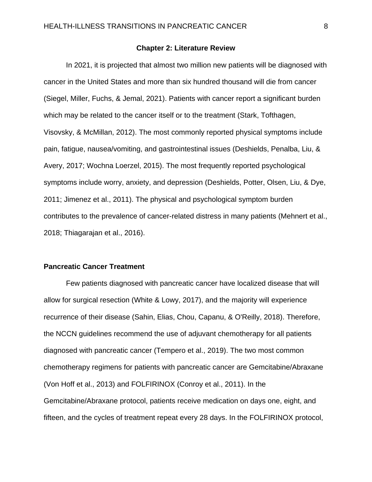#### **Chapter 2: Literature Review**

 In 2021, it is projected that almost two million new patients will be diagnosed with cancer in the United States and more than six hundred thousand will die from cancer (Siegel, Miller, Fuchs, & Jemal, 2021). Patients with cancer report a significant burden which may be related to the cancer itself or to the treatment (Stark, Tofthagen, Visovsky, & McMillan, 2012). The most commonly reported physical symptoms include pain, fatigue, nausea/vomiting, and gastrointestinal issues (Deshields, Penalba, Liu, & Avery, 2017; Wochna Loerzel, 2015). The most frequently reported psychological symptoms include worry, anxiety, and depression (Deshields, Potter, Olsen, Liu, & Dye, 2011; Jimenez et al., 2011). The physical and psychological symptom burden contributes to the prevalence of cancer-related distress in many patients (Mehnert et al., 2018; Thiagarajan et al., 2016).

### **Pancreatic Cancer Treatment**

 Few patients diagnosed with pancreatic cancer have localized disease that will allow for surgical resection (White & Lowy, 2017), and the majority will experience recurrence of their disease (Sahin, Elias, Chou, Capanu, & O'Reilly, 2018). Therefore, the NCCN guidelines recommend the use of adjuvant chemotherapy for all patients diagnosed with pancreatic cancer (Tempero et al., 2019). The two most common chemotherapy regimens for patients with pancreatic cancer are Gemcitabine/Abraxane (Von Hoff et al., 2013) and FOLFIRINOX (Conroy et al., 2011). In the Gemcitabine/Abraxane protocol, patients receive medication on days one, eight, and fifteen, and the cycles of treatment repeat every 28 days. In the FOLFIRINOX protocol,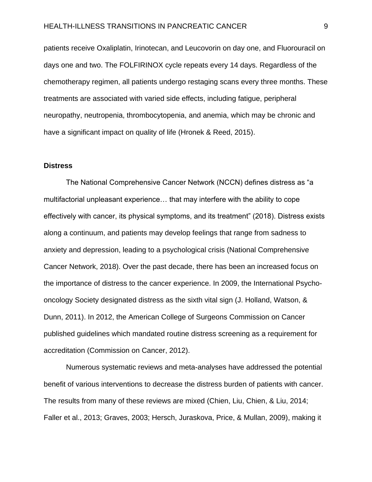#### HEALTH-ILLNESS TRANSITIONS IN PANCREATIC CANCER 9

patients receive Oxaliplatin, Irinotecan, and Leucovorin on day one, and Fluorouracil on days one and two. The FOLFIRINOX cycle repeats every 14 days. Regardless of the chemotherapy regimen, all patients undergo restaging scans every three months. These treatments are associated with varied side effects, including fatigue, peripheral neuropathy, neutropenia, thrombocytopenia, and anemia, which may be chronic and have a significant impact on quality of life (Hronek & Reed, 2015).

#### **Distress**

 The National Comprehensive Cancer Network (NCCN) defines distress as "a multifactorial unpleasant experience… that may interfere with the ability to cope effectively with cancer, its physical symptoms, and its treatment" (2018). Distress exists along a continuum, and patients may develop feelings that range from sadness to anxiety and depression, leading to a psychological crisis (National Comprehensive Cancer Network, 2018). Over the past decade, there has been an increased focus on the importance of distress to the cancer experience. In 2009, the International Psychooncology Society designated distress as the sixth vital sign (J. Holland, Watson, & Dunn, 2011). In 2012, the American College of Surgeons Commission on Cancer published guidelines which mandated routine distress screening as a requirement for accreditation (Commission on Cancer, 2012).

 Numerous systematic reviews and meta-analyses have addressed the potential benefit of various interventions to decrease the distress burden of patients with cancer. The results from many of these reviews are mixed (Chien, Liu, Chien, & Liu, 2014; Faller et al., 2013; Graves, 2003; Hersch, Juraskova, Price, & Mullan, 2009), making it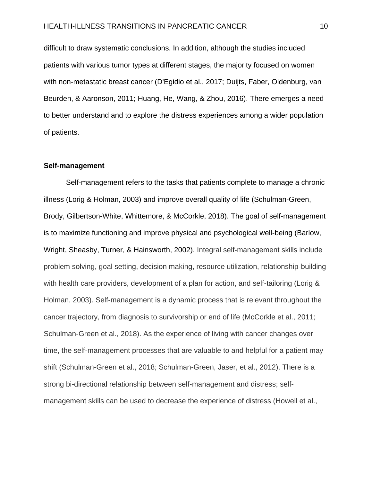difficult to draw systematic conclusions. In addition, although the studies included patients with various tumor types at different stages, the majority focused on women with non-metastatic breast cancer (D'Egidio et al., 2017; Duijts, Faber, Oldenburg, van Beurden, & Aaronson, 2011; Huang, He, Wang, & Zhou, 2016). There emerges a need to better understand and to explore the distress experiences among a wider population of patients.

#### **Self-management**

 Self-management refers to the tasks that patients complete to manage a chronic illness (Lorig & Holman, 2003) and improve overall quality of life (Schulman-Green, Brody, Gilbertson-White, Whittemore, & McCorkle, 2018). The goal of self-management is to maximize functioning and improve physical and psychological well-being (Barlow, Wright, Sheasby, Turner, & Hainsworth, 2002). Integral self-management skills include problem solving, goal setting, decision making, resource utilization, relationship-building with health care providers, development of a plan for action, and self-tailoring (Lorig & Holman, 2003). Self-management is a dynamic process that is relevant throughout the cancer trajectory, from diagnosis to survivorship or end of life (McCorkle et al., 2011; Schulman-Green et al., 2018). As the experience of living with cancer changes over time, the self-management processes that are valuable to and helpful for a patient may shift (Schulman-Green et al., 2018; Schulman-Green, Jaser, et al., 2012). There is a strong bi-directional relationship between self-management and distress; selfmanagement skills can be used to decrease the experience of distress (Howell et al.,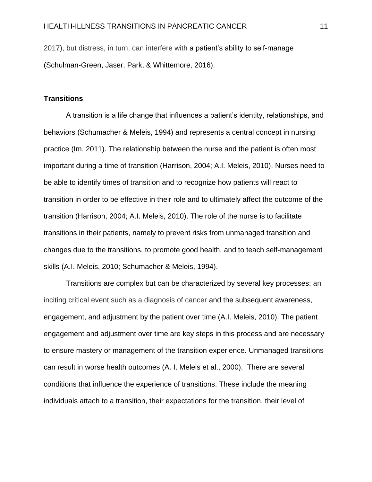2017), but distress, in turn, can interfere with a patient's ability to self-manage (Schulman-Green, Jaser, Park, & Whittemore, 2016).

### **Transitions**

 A transition is a life change that influences a patient's identity, relationships, and behaviors (Schumacher & Meleis, 1994) and represents a central concept in nursing practice (Im, 2011). The relationship between the nurse and the patient is often most important during a time of transition (Harrison, 2004; A.I. Meleis, 2010). Nurses need to be able to identify times of transition and to recognize how patients will react to transition in order to be effective in their role and to ultimately affect the outcome of the transition (Harrison, 2004; A.I. Meleis, 2010). The role of the nurse is to facilitate transitions in their patients, namely to prevent risks from unmanaged transition and changes due to the transitions, to promote good health, and to teach self-management skills (A.I. Meleis, 2010; Schumacher & Meleis, 1994).

 Transitions are complex but can be characterized by several key processes: an inciting critical event such as a diagnosis of cancer and the subsequent awareness, engagement, and adjustment by the patient over time (A.I. Meleis, 2010). The patient engagement and adjustment over time are key steps in this process and are necessary to ensure mastery or management of the transition experience. Unmanaged transitions can result in worse health outcomes (A. I. Meleis et al., 2000). There are several conditions that influence the experience of transitions. These include the meaning individuals attach to a transition, their expectations for the transition, their level of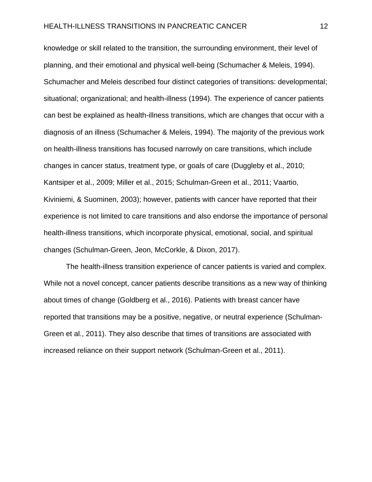knowledge or skill related to the transition, the surrounding environment, their level of planning, and their emotional and physical well-being (Schumacher & Meleis, 1994). Schumacher and Meleis described four distinct categories of transitions: developmental; situational; organizational; and health-illness (1994). The experience of cancer patients can best be explained as health-illness transitions, which are changes that occur with a diagnosis of an illness (Schumacher & Meleis, 1994). The majority of the previous work on health-illness transitions has focused narrowly on care transitions, which include changes in cancer status, treatment type, or goals of care (Duggleby et al., 2010; Kantsiper et al., 2009; Miller et al., 2015; Schulman-Green et al., 2011; Vaartio, Kiviniemi, & Suominen, 2003); however, patients with cancer have reported that their experience is not limited to care transitions and also endorse the importance of personal health-illness transitions, which incorporate physical, emotional, social, and spiritual changes (Schulman-Green, Jeon, McCorkle, & Dixon, 2017).

 The health-illness transition experience of cancer patients is varied and complex. While not a novel concept, cancer patients describe transitions as a new way of thinking about times of change (Goldberg et al., 2016). Patients with breast cancer have reported that transitions may be a positive, negative, or neutral experience (Schulman-Green et al., 2011). They also describe that times of transitions are associated with increased reliance on their support network (Schulman-Green et al., 2011).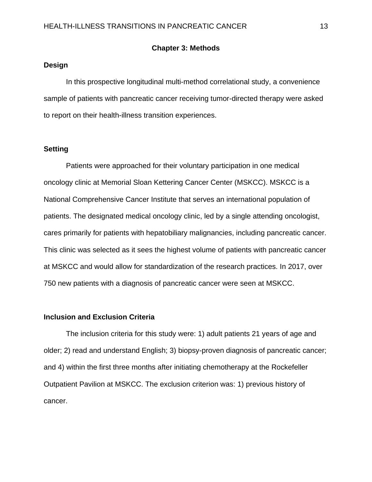#### **Chapter 3: Methods**

# **Design**

 In this prospective longitudinal multi-method correlational study, a convenience sample of patients with pancreatic cancer receiving tumor-directed therapy were asked to report on their health-illness transition experiences.

#### **Setting**

 Patients were approached for their voluntary participation in one medical oncology clinic at Memorial Sloan Kettering Cancer Center (MSKCC). MSKCC is a National Comprehensive Cancer Institute that serves an international population of patients. The designated medical oncology clinic, led by a single attending oncologist, cares primarily for patients with hepatobiliary malignancies, including pancreatic cancer. This clinic was selected as it sees the highest volume of patients with pancreatic cancer at MSKCC and would allow for standardization of the research practices. In 2017, over 750 new patients with a diagnosis of pancreatic cancer were seen at MSKCC.

#### **Inclusion and Exclusion Criteria**

 The inclusion criteria for this study were: 1) adult patients 21 years of age and older; 2) read and understand English; 3) biopsy-proven diagnosis of pancreatic cancer; and 4) within the first three months after initiating chemotherapy at the Rockefeller Outpatient Pavilion at MSKCC. The exclusion criterion was: 1) previous history of cancer.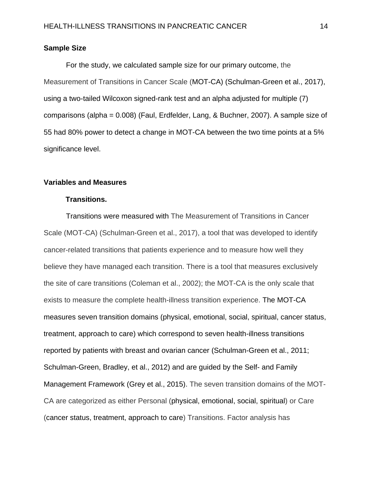## **Sample Size**

 For the study, we calculated sample size for our primary outcome, the Measurement of Transitions in Cancer Scale (MOT-CA) (Schulman-Green et al., 2017), using a two-tailed Wilcoxon signed-rank test and an alpha adjusted for multiple (7) comparisons (alpha = 0.008) (Faul, Erdfelder, Lang, & Buchner, 2007). A sample size of 55 had 80% power to detect a change in MOT-CA between the two time points at a 5% significance level.

# **Variables and Measures**

#### **Transitions.**

 Transitions were measured with The Measurement of Transitions in Cancer Scale (MOT-CA) (Schulman-Green et al., 2017), a tool that was developed to identify cancer-related transitions that patients experience and to measure how well they believe they have managed each transition. There is a tool that measures exclusively the site of care transitions (Coleman et al., 2002); the MOT-CA is the only scale that exists to measure the complete health-illness transition experience. The MOT-CA measures seven transition domains (physical, emotional, social, spiritual, cancer status, treatment, approach to care) which correspond to seven health-illness transitions reported by patients with breast and ovarian cancer (Schulman-Green et al., 2011; Schulman-Green, Bradley, et al., 2012) and are guided by the Self- and Family Management Framework (Grey et al., 2015). The seven transition domains of the MOT-CA are categorized as either Personal (physical, emotional, social, spiritual) or Care (cancer status, treatment, approach to care) Transitions. Factor analysis has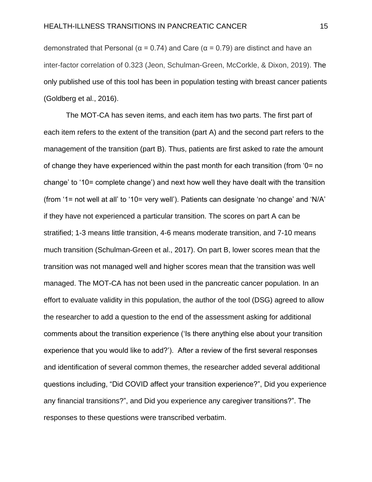demonstrated that Personal ( $\alpha$  = 0.74) and Care ( $\alpha$  = 0.79) are distinct and have an inter-factor correlation of 0.323 (Jeon, Schulman-Green, McCorkle, & Dixon, 2019). The only published use of this tool has been in population testing with breast cancer patients (Goldberg et al., 2016).

 The MOT-CA has seven items, and each item has two parts. The first part of each item refers to the extent of the transition (part A) and the second part refers to the management of the transition (part B). Thus, patients are first asked to rate the amount of change they have experienced within the past month for each transition (from '0= no change' to '10= complete change') and next how well they have dealt with the transition (from '1= not well at all' to '10= very well'). Patients can designate 'no change' and 'N/A' if they have not experienced a particular transition. The scores on part A can be stratified; 1-3 means little transition, 4-6 means moderate transition, and 7-10 means much transition (Schulman-Green et al., 2017). On part B, lower scores mean that the transition was not managed well and higher scores mean that the transition was well managed. The MOT-CA has not been used in the pancreatic cancer population. In an effort to evaluate validity in this population, the author of the tool (DSG) agreed to allow the researcher to add a question to the end of the assessment asking for additional comments about the transition experience ('Is there anything else about your transition experience that you would like to add?'). After a review of the first several responses and identification of several common themes, the researcher added several additional questions including, "Did COVID affect your transition experience?", Did you experience any financial transitions?", and Did you experience any caregiver transitions?". The responses to these questions were transcribed verbatim.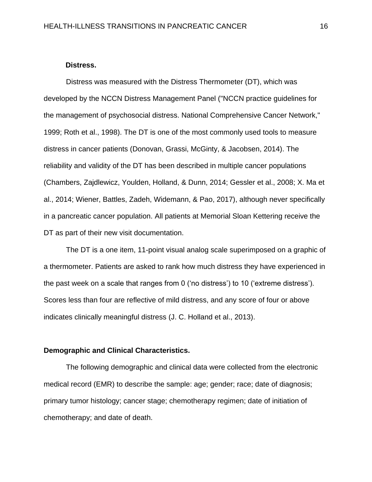#### **Distress.**

 Distress was measured with the Distress Thermometer (DT), which was developed by the NCCN Distress Management Panel ("NCCN practice guidelines for the management of psychosocial distress. National Comprehensive Cancer Network," 1999; Roth et al., 1998). The DT is one of the most commonly used tools to measure distress in cancer patients (Donovan, Grassi, McGinty, & Jacobsen, 2014). The reliability and validity of the DT has been described in multiple cancer populations (Chambers, Zajdlewicz, Youlden, Holland, & Dunn, 2014; Gessler et al., 2008; X. Ma et al., 2014; Wiener, Battles, Zadeh, Widemann, & Pao, 2017), although never specifically in a pancreatic cancer population. All patients at Memorial Sloan Kettering receive the DT as part of their new visit documentation.

 The DT is a one item, 11-point visual analog scale superimposed on a graphic of a thermometer. Patients are asked to rank how much distress they have experienced in the past week on a scale that ranges from 0 ('no distress') to 10 ('extreme distress'). Scores less than four are reflective of mild distress, and any score of four or above indicates clinically meaningful distress (J. C. Holland et al., 2013).

#### **Demographic and Clinical Characteristics.**

 The following demographic and clinical data were collected from the electronic medical record (EMR) to describe the sample: age; gender; race; date of diagnosis; primary tumor histology; cancer stage; chemotherapy regimen; date of initiation of chemotherapy; and date of death.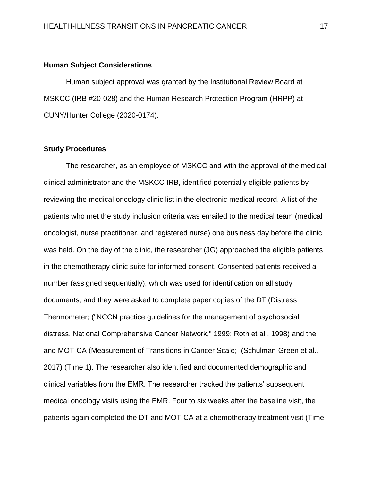## **Human Subject Considerations**

 Human subject approval was granted by the Institutional Review Board at MSKCC (IRB #20-028) and the Human Research Protection Program (HRPP) at CUNY/Hunter College (2020-0174).

#### **Study Procedures**

 The researcher, as an employee of MSKCC and with the approval of the medical clinical administrator and the MSKCC IRB, identified potentially eligible patients by reviewing the medical oncology clinic list in the electronic medical record. A list of the patients who met the study inclusion criteria was emailed to the medical team (medical oncologist, nurse practitioner, and registered nurse) one business day before the clinic was held. On the day of the clinic, the researcher (JG) approached the eligible patients in the chemotherapy clinic suite for informed consent. Consented patients received a number (assigned sequentially), which was used for identification on all study documents, and they were asked to complete paper copies of the DT (Distress Thermometer; ("NCCN practice guidelines for the management of psychosocial distress. National Comprehensive Cancer Network," 1999; Roth et al., 1998) and the and MOT-CA (Measurement of Transitions in Cancer Scale; (Schulman-Green et al., 2017) (Time 1). The researcher also identified and documented demographic and clinical variables from the EMR. The researcher tracked the patients' subsequent medical oncology visits using the EMR. Four to six weeks after the baseline visit, the patients again completed the DT and MOT-CA at a chemotherapy treatment visit (Time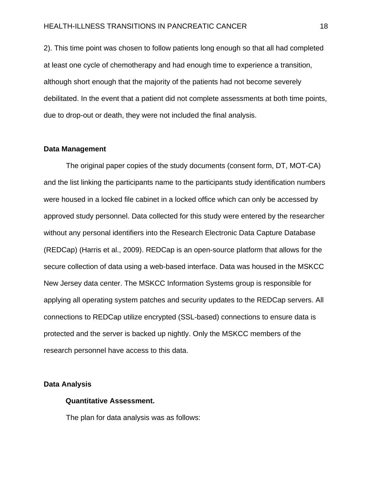2). This time point was chosen to follow patients long enough so that all had completed at least one cycle of chemotherapy and had enough time to experience a transition, although short enough that the majority of the patients had not become severely debilitated. In the event that a patient did not complete assessments at both time points, due to drop-out or death, they were not included the final analysis.

#### **Data Management**

 The original paper copies of the study documents (consent form, DT, MOT-CA) and the list linking the participants name to the participants study identification numbers were housed in a locked file cabinet in a locked office which can only be accessed by approved study personnel. Data collected for this study were entered by the researcher without any personal identifiers into the Research Electronic Data Capture Database (REDCap) (Harris et al., 2009). REDCap is an open-source platform that allows for the secure collection of data using a web-based interface. Data was housed in the MSKCC New Jersey data center. The MSKCC Information Systems group is responsible for applying all operating system patches and security updates to the REDCap servers. All connections to REDCap utilize encrypted (SSL-based) connections to ensure data is protected and the server is backed up nightly. Only the MSKCC members of the research personnel have access to this data.

#### **Data Analysis**

### **Quantitative Assessment.**

The plan for data analysis was as follows: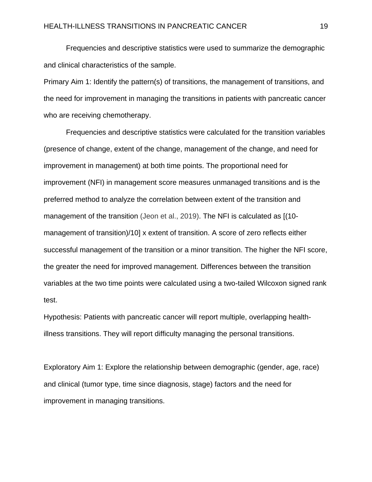Frequencies and descriptive statistics were used to summarize the demographic and clinical characteristics of the sample.

Primary Aim 1: Identify the pattern(s) of transitions, the management of transitions, and the need for improvement in managing the transitions in patients with pancreatic cancer who are receiving chemotherapy.

 Frequencies and descriptive statistics were calculated for the transition variables (presence of change, extent of the change, management of the change, and need for improvement in management) at both time points. The proportional need for improvement (NFI) in management score measures unmanaged transitions and is the preferred method to analyze the correlation between extent of the transition and management of the transition (Jeon et al., 2019). The NFI is calculated as [(10 management of transition)/10] x extent of transition. A score of zero reflects either successful management of the transition or a minor transition. The higher the NFI score, the greater the need for improved management. Differences between the transition variables at the two time points were calculated using a two-tailed Wilcoxon signed rank test.

Hypothesis: Patients with pancreatic cancer will report multiple, overlapping healthillness transitions. They will report difficulty managing the personal transitions.

Exploratory Aim 1: Explore the relationship between demographic (gender, age, race) and clinical (tumor type, time since diagnosis, stage) factors and the need for improvement in managing transitions.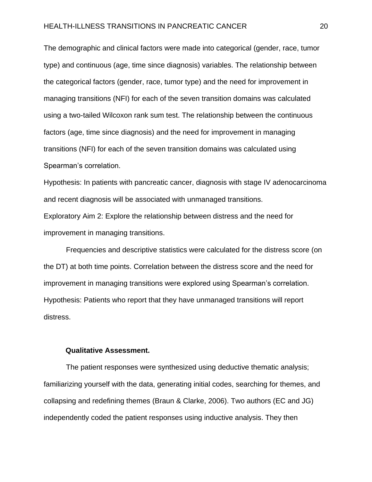#### HEALTH-ILLNESS TRANSITIONS IN PANCREATIC CANCER 20

The demographic and clinical factors were made into categorical (gender, race, tumor type) and continuous (age, time since diagnosis) variables. The relationship between the categorical factors (gender, race, tumor type) and the need for improvement in managing transitions (NFI) for each of the seven transition domains was calculated using a two-tailed Wilcoxon rank sum test. The relationship between the continuous factors (age, time since diagnosis) and the need for improvement in managing transitions (NFI) for each of the seven transition domains was calculated using Spearman's correlation.

Hypothesis: In patients with pancreatic cancer, diagnosis with stage IV adenocarcinoma and recent diagnosis will be associated with unmanaged transitions. Exploratory Aim 2: Explore the relationship between distress and the need for improvement in managing transitions.

 Frequencies and descriptive statistics were calculated for the distress score (on the DT) at both time points. Correlation between the distress score and the need for improvement in managing transitions were explored using Spearman's correlation. Hypothesis: Patients who report that they have unmanaged transitions will report distress.

#### **Qualitative Assessment.**

 The patient responses were synthesized using deductive thematic analysis; familiarizing yourself with the data, generating initial codes, searching for themes, and collapsing and redefining themes (Braun & Clarke, 2006). Two authors (EC and JG) independently coded the patient responses using inductive analysis. They then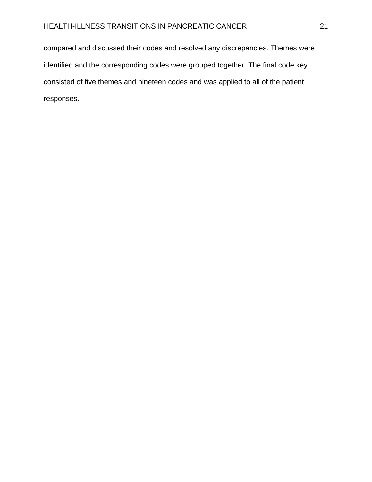compared and discussed their codes and resolved any discrepancies. Themes were identified and the corresponding codes were grouped together. The final code key consisted of five themes and nineteen codes and was applied to all of the patient responses.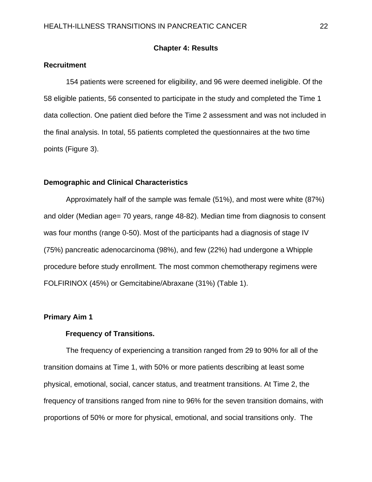# **Chapter 4: Results**

# **Recruitment**

 154 patients were screened for eligibility, and 96 were deemed ineligible. Of the 58 eligible patients, 56 consented to participate in the study and completed the Time 1 data collection. One patient died before the Time 2 assessment and was not included in the final analysis. In total, 55 patients completed the questionnaires at the two time points (Figure 3).

# **Demographic and Clinical Characteristics**

 Approximately half of the sample was female (51%), and most were white (87%) and older (Median age= 70 years, range 48-82). Median time from diagnosis to consent was four months (range 0-50). Most of the participants had a diagnosis of stage IV (75%) pancreatic adenocarcinoma (98%), and few (22%) had undergone a Whipple procedure before study enrollment. The most common chemotherapy regimens were FOLFIRINOX (45%) or Gemcitabine/Abraxane (31%) (Table 1).

# **Primary Aim 1**

## **Frequency of Transitions.**

 The frequency of experiencing a transition ranged from 29 to 90% for all of the transition domains at Time 1, with 50% or more patients describing at least some physical, emotional, social, cancer status, and treatment transitions. At Time 2, the frequency of transitions ranged from nine to 96% for the seven transition domains, with proportions of 50% or more for physical, emotional, and social transitions only. The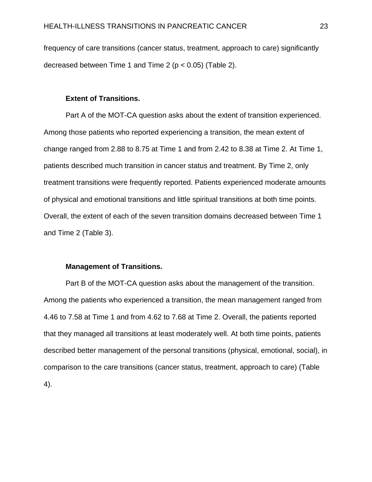frequency of care transitions (cancer status, treatment, approach to care) significantly decreased between Time 1 and Time 2 ( $p < 0.05$ ) (Table 2).

# **Extent of Transitions.**

Part A of the MOT-CA question asks about the extent of transition experienced. Among those patients who reported experiencing a transition, the mean extent of change ranged from 2.88 to 8.75 at Time 1 and from 2.42 to 8.38 at Time 2. At Time 1, patients described much transition in cancer status and treatment. By Time 2, only treatment transitions were frequently reported. Patients experienced moderate amounts of physical and emotional transitions and little spiritual transitions at both time points. Overall, the extent of each of the seven transition domains decreased between Time 1 and Time 2 (Table 3).

#### **Management of Transitions.**

Part B of the MOT-CA question asks about the management of the transition. Among the patients who experienced a transition, the mean management ranged from 4.46 to 7.58 at Time 1 and from 4.62 to 7.68 at Time 2. Overall, the patients reported that they managed all transitions at least moderately well. At both time points, patients described better management of the personal transitions (physical, emotional, social), in comparison to the care transitions (cancer status, treatment, approach to care) (Table 4).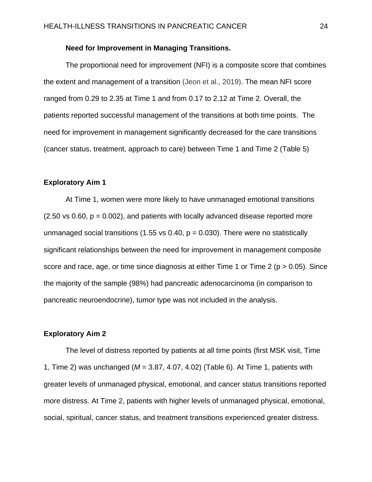# **Need for Improvement in Managing Transitions.**

The proportional need for improvement (NFI) is a composite score that combines the extent and management of a transition (Jeon et al., 2019). The mean NFI score ranged from 0.29 to 2.35 at Time 1 and from 0.17 to 2.12 at Time 2. Overall, the patients reported successful management of the transitions at both time points. The need for improvement in management significantly decreased for the care transitions (cancer status, treatment, approach to care) between Time 1 and Time 2 (Table 5)

## **Exploratory Aim 1**

At Time 1, women were more likely to have unmanaged emotional transitions  $(2.50 \text{ vs } 0.60, p = 0.002)$ , and patients with locally advanced disease reported more unmanaged social transitions (1.55 vs 0.40,  $p = 0.030$ ). There were no statistically significant relationships between the need for improvement in management composite score and race, age, or time since diagnosis at either Time 1 or Time 2 ( $p > 0.05$ ). Since the majority of the sample (98%) had pancreatic adenocarcinoma (in comparison to pancreatic neuroendocrine), tumor type was not included in the analysis.

## **Exploratory Aim 2**

The level of distress reported by patients at all time points (first MSK visit, Time 1, Time 2) was unchanged (*M* = 3.87, 4.07, 4.02) (Table 6). At Time 1, patients with greater levels of unmanaged physical, emotional, and cancer status transitions reported more distress. At Time 2, patients with higher levels of unmanaged physical, emotional, social, spiritual, cancer status, and treatment transitions experienced greater distress.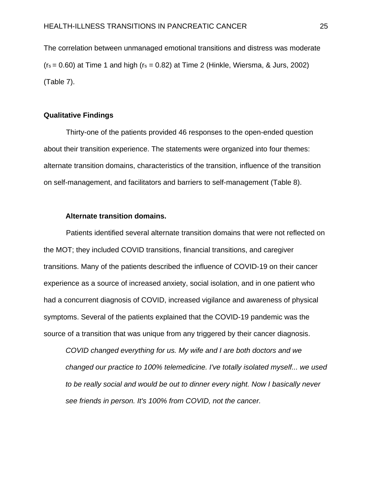The correlation between unmanaged emotional transitions and distress was moderate  $(r_s = 0.60)$  at Time 1 and high  $(r_s = 0.82)$  at Time 2 (Hinkle, Wiersma, & Jurs, 2002) (Table 7).

#### **Qualitative Findings**

 Thirty-one of the patients provided 46 responses to the open-ended question about their transition experience. The statements were organized into four themes: alternate transition domains, characteristics of the transition, influence of the transition on self-management, and facilitators and barriers to self-management (Table 8).

# **Alternate transition domains.**

 Patients identified several alternate transition domains that were not reflected on the MOT; they included COVID transitions, financial transitions, and caregiver transitions. Many of the patients described the influence of COVID-19 on their cancer experience as a source of increased anxiety, social isolation, and in one patient who had a concurrent diagnosis of COVID, increased vigilance and awareness of physical symptoms. Several of the patients explained that the COVID-19 pandemic was the source of a transition that was unique from any triggered by their cancer diagnosis.

*COVID changed everything for us. My wife and I are both doctors and we changed our practice to 100% telemedicine. I've totally isolated myself... we used to be really social and would be out to dinner every night. Now I basically never see friends in person. It's 100% from COVID, not the cancer.*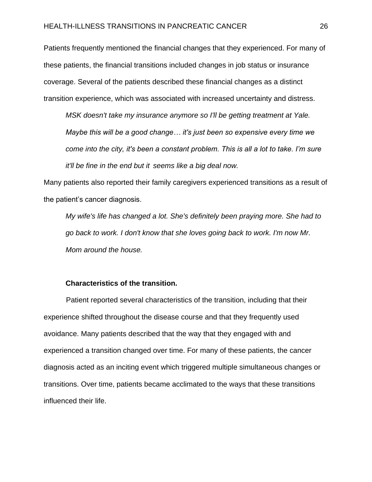## HEALTH-ILLNESS TRANSITIONS IN PANCREATIC CANCER 26

Patients frequently mentioned the financial changes that they experienced. For many of these patients, the financial transitions included changes in job status or insurance coverage. Several of the patients described these financial changes as a distinct transition experience, which was associated with increased uncertainty and distress.

*MSK doesn't take my insurance anymore so I'll be getting treatment at Yale. Maybe this will be a good change… it's just been so expensive every time we come into the city, it's been a constant problem. This is all a lot to take. I'm sure it'll be fine in the end but it seems like a big deal now.* 

Many patients also reported their family caregivers experienced transitions as a result of the patient's cancer diagnosis.

*My wife's life has changed a lot. She's definitely been praying more. She had to go back to work. I don't know that she loves going back to work. I'm now Mr. Mom around the house.* 

### **Characteristics of the transition.**

 Patient reported several characteristics of the transition, including that their experience shifted throughout the disease course and that they frequently used avoidance. Many patients described that the way that they engaged with and experienced a transition changed over time. For many of these patients, the cancer diagnosis acted as an inciting event which triggered multiple simultaneous changes or transitions. Over time, patients became acclimated to the ways that these transitions influenced their life.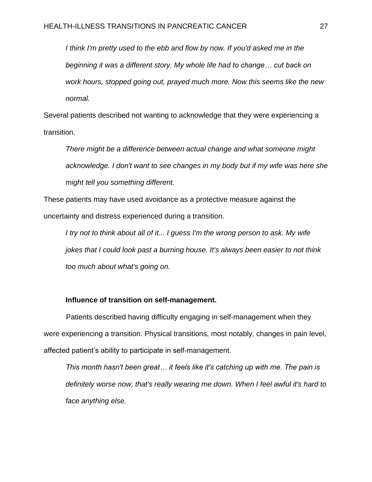*I think I'm pretty used to the ebb and flow by now. If you'd asked me in the beginning it was a different story. My whole life had to change… cut back on work hours, stopped going out, prayed much more. Now this seems like the new normal.*

Several patients described not wanting to acknowledge that they were experiencing a transition.

*There might be a difference between actual change and what someone might acknowledge. I don't want to see changes in my body but if my wife was here she might tell you something different.*

These patients may have used avoidance as a protective measure against the uncertainty and distress experienced during a transition.

*I try not to think about all of it... I guess I'm the wrong person to ask. My wife jokes that I could look past a burning house. It's always been easier to not think too much about what's going on.*

# **Influence of transition on self-management.**

 Patients described having difficulty engaging in self-management when they were experiencing a transition. Physical transitions, most notably, changes in pain level, affected patient's ability to participate in self-management.

*This month hasn't been great… it feels like it's catching up with me. The pain is definitely worse now, that's really wearing me down. When I feel awful it's hard to face anything else.*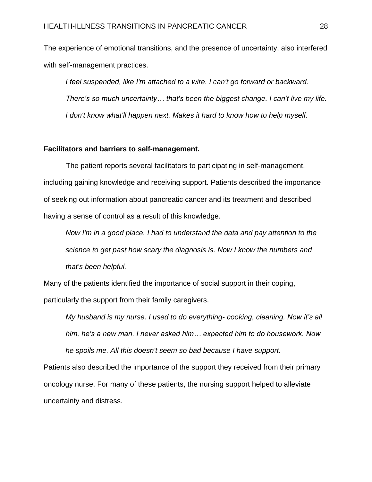The experience of emotional transitions, and the presence of uncertainty, also interfered with self-management practices.

*I feel suspended, like I'm attached to a wire. I can't go forward or backward. There's so much uncertainty… that's been the biggest change. I can't live my life. I don't know what'll happen next. Makes it hard to know how to help myself.* 

### **Facilitators and barriers to self-management.**

 The patient reports several facilitators to participating in self-management, including gaining knowledge and receiving support. Patients described the importance of seeking out information about pancreatic cancer and its treatment and described having a sense of control as a result of this knowledge.

*Now I'm in a good place. I had to understand the data and pay attention to the science to get past how scary the diagnosis is. Now I know the numbers and that's been helpful.*

Many of the patients identified the importance of social support in their coping, particularly the support from their family caregivers.

*My husband is my nurse. I used to do everything- cooking, cleaning. Now it's all him, he's a new man. I never asked him… expected him to do housework. Now he spoils me. All this doesn't seem so bad because I have support.*

Patients also described the importance of the support they received from their primary oncology nurse. For many of these patients, the nursing support helped to alleviate uncertainty and distress.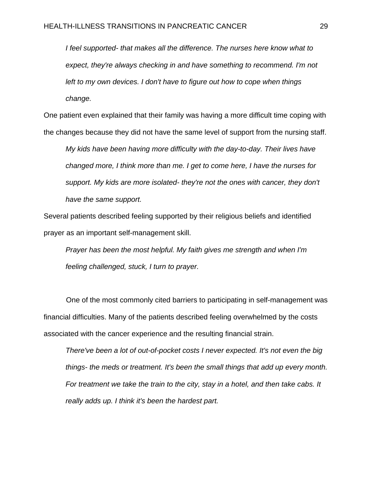*I feel supported- that makes all the difference. The nurses here know what to expect, they're always checking in and have something to recommend. I'm not left to my own devices. I don't have to figure out how to cope when things change.*

One patient even explained that their family was having a more difficult time coping with the changes because they did not have the same level of support from the nursing staff.

*My kids have been having more difficulty with the day-to-day. Their lives have changed more, I think more than me. I get to come here, I have the nurses for support. My kids are more isolated- they're not the ones with cancer, they don't have the same support.*

Several patients described feeling supported by their religious beliefs and identified prayer as an important self-management skill.

*Prayer has been the most helpful. My faith gives me strength and when I'm feeling challenged, stuck, I turn to prayer.*

 One of the most commonly cited barriers to participating in self-management was financial difficulties. Many of the patients described feeling overwhelmed by the costs associated with the cancer experience and the resulting financial strain.

*There've been a lot of out-of-pocket costs I never expected. It's not even the big things- the meds or treatment. It's been the small things that add up every month. For treatment we take the train to the city, stay in a hotel, and then take cabs. It really adds up. I think it's been the hardest part.*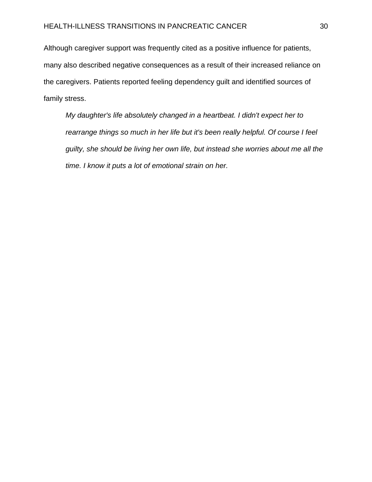Although caregiver support was frequently cited as a positive influence for patients, many also described negative consequences as a result of their increased reliance on the caregivers. Patients reported feeling dependency guilt and identified sources of family stress.

*My daughter's life absolutely changed in a heartbeat. I didn't expect her to rearrange things so much in her life but it's been really helpful. Of course I feel guilty, she should be living her own life, but instead she worries about me all the time. I know it puts a lot of emotional strain on her.*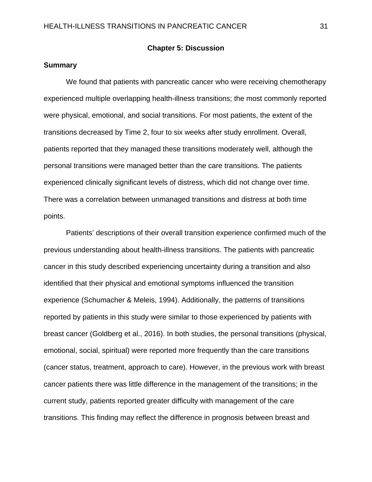# **Chapter 5: Discussion**

# **Summary**

 We found that patients with pancreatic cancer who were receiving chemotherapy experienced multiple overlapping health-illness transitions; the most commonly reported were physical, emotional, and social transitions. For most patients, the extent of the transitions decreased by Time 2, four to six weeks after study enrollment. Overall, patients reported that they managed these transitions moderately well, although the personal transitions were managed better than the care transitions. The patients experienced clinically significant levels of distress, which did not change over time. There was a correlation between unmanaged transitions and distress at both time points.

 Patients' descriptions of their overall transition experience confirmed much of the previous understanding about health-illness transitions. The patients with pancreatic cancer in this study described experiencing uncertainty during a transition and also identified that their physical and emotional symptoms influenced the transition experience (Schumacher & Meleis, 1994). Additionally, the patterns of transitions reported by patients in this study were similar to those experienced by patients with breast cancer (Goldberg et al., 2016). In both studies, the personal transitions (physical, emotional, social, spiritual) were reported more frequently than the care transitions (cancer status, treatment, approach to care). However, in the previous work with breast cancer patients there was little difference in the management of the transitions; in the current study, patients reported greater difficulty with management of the care transitions. This finding may reflect the difference in prognosis between breast and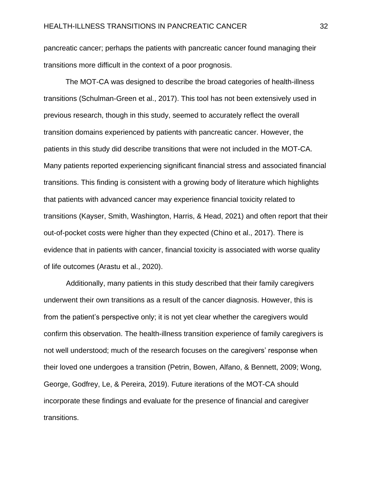pancreatic cancer; perhaps the patients with pancreatic cancer found managing their transitions more difficult in the context of a poor prognosis.

The MOT-CA was designed to describe the broad categories of health-illness transitions (Schulman-Green et al., 2017). This tool has not been extensively used in previous research, though in this study, seemed to accurately reflect the overall transition domains experienced by patients with pancreatic cancer. However, the patients in this study did describe transitions that were not included in the MOT-CA. Many patients reported experiencing significant financial stress and associated financial transitions. This finding is consistent with a growing body of literature which highlights that patients with advanced cancer may experience financial toxicity related to transitions (Kayser, Smith, Washington, Harris, & Head, 2021) and often report that their out-of-pocket costs were higher than they expected (Chino et al., 2017). There is evidence that in patients with cancer, financial toxicity is associated with worse quality of life outcomes (Arastu et al., 2020).

 Additionally, many patients in this study described that their family caregivers underwent their own transitions as a result of the cancer diagnosis. However, this is from the patient's perspective only; it is not yet clear whether the caregivers would confirm this observation. The health-illness transition experience of family caregivers is not well understood; much of the research focuses on the caregivers' response when their loved one undergoes a transition (Petrin, Bowen, Alfano, & Bennett, 2009; Wong, George, Godfrey, Le, & Pereira, 2019). Future iterations of the MOT-CA should incorporate these findings and evaluate for the presence of financial and caregiver transitions.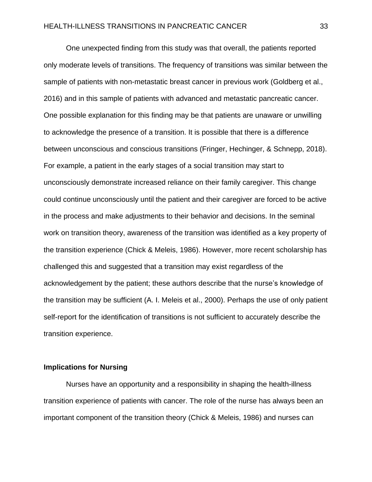One unexpected finding from this study was that overall, the patients reported only moderate levels of transitions. The frequency of transitions was similar between the sample of patients with non-metastatic breast cancer in previous work (Goldberg et al., 2016) and in this sample of patients with advanced and metastatic pancreatic cancer. One possible explanation for this finding may be that patients are unaware or unwilling to acknowledge the presence of a transition. It is possible that there is a difference between unconscious and conscious transitions (Fringer, Hechinger, & Schnepp, 2018). For example, a patient in the early stages of a social transition may start to unconsciously demonstrate increased reliance on their family caregiver. This change could continue unconsciously until the patient and their caregiver are forced to be active in the process and make adjustments to their behavior and decisions. In the seminal work on transition theory, awareness of the transition was identified as a key property of the transition experience (Chick & Meleis, 1986). However, more recent scholarship has challenged this and suggested that a transition may exist regardless of the acknowledgement by the patient; these authors describe that the nurse's knowledge of the transition may be sufficient (A. I. Meleis et al., 2000). Perhaps the use of only patient self-report for the identification of transitions is not sufficient to accurately describe the transition experience.

# **Implications for Nursing**

 Nurses have an opportunity and a responsibility in shaping the health-illness transition experience of patients with cancer. The role of the nurse has always been an important component of the transition theory (Chick & Meleis, 1986) and nurses can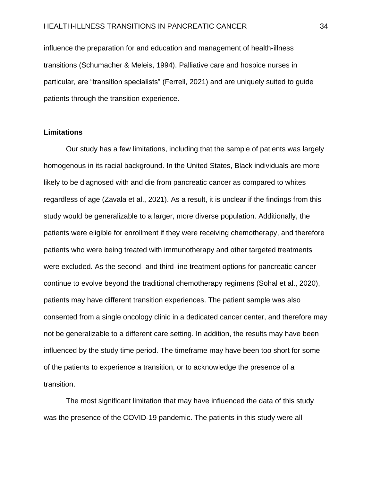### HEALTH-ILLNESS TRANSITIONS IN PANCREATIC CANCER 34

influence the preparation for and education and management of health-illness transitions (Schumacher & Meleis, 1994). Palliative care and hospice nurses in particular, are "transition specialists" (Ferrell, 2021) and are uniquely suited to guide patients through the transition experience.

# **Limitations**

 Our study has a few limitations, including that the sample of patients was largely homogenous in its racial background. In the United States, Black individuals are more likely to be diagnosed with and die from pancreatic cancer as compared to whites regardless of age (Zavala et al., 2021). As a result, it is unclear if the findings from this study would be generalizable to a larger, more diverse population. Additionally, the patients were eligible for enrollment if they were receiving chemotherapy, and therefore patients who were being treated with immunotherapy and other targeted treatments were excluded. As the second- and third-line treatment options for pancreatic cancer continue to evolve beyond the traditional chemotherapy regimens (Sohal et al., 2020), patients may have different transition experiences. The patient sample was also consented from a single oncology clinic in a dedicated cancer center, and therefore may not be generalizable to a different care setting. In addition, the results may have been influenced by the study time period. The timeframe may have been too short for some of the patients to experience a transition, or to acknowledge the presence of a transition.

 The most significant limitation that may have influenced the data of this study was the presence of the COVID-19 pandemic. The patients in this study were all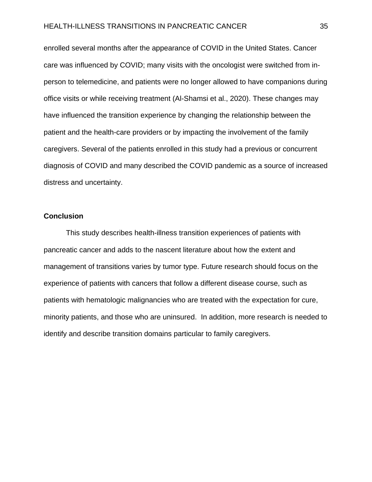enrolled several months after the appearance of COVID in the United States. Cancer care was influenced by COVID; many visits with the oncologist were switched from inperson to telemedicine, and patients were no longer allowed to have companions during office visits or while receiving treatment (Al-Shamsi et al., 2020). These changes may have influenced the transition experience by changing the relationship between the patient and the health-care providers or by impacting the involvement of the family caregivers. Several of the patients enrolled in this study had a previous or concurrent diagnosis of COVID and many described the COVID pandemic as a source of increased distress and uncertainty.

# **Conclusion**

 This study describes health-illness transition experiences of patients with pancreatic cancer and adds to the nascent literature about how the extent and management of transitions varies by tumor type. Future research should focus on the experience of patients with cancers that follow a different disease course, such as patients with hematologic malignancies who are treated with the expectation for cure, minority patients, and those who are uninsured. In addition, more research is needed to identify and describe transition domains particular to family caregivers.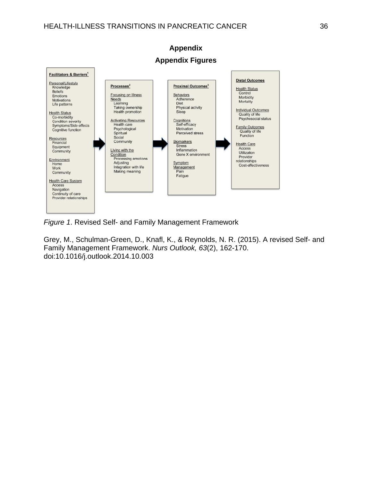

# **Appendix Appendix Figures**

*Figure 1*. Revised Self- and Family Management Framework

Grey, M., Schulman-Green, D., Knafl, K., & Reynolds, N. R. (2015). A revised Self- and Family Management Framework. *Nurs Outlook, 63*(2), 162-170. doi:10.1016/j.outlook.2014.10.003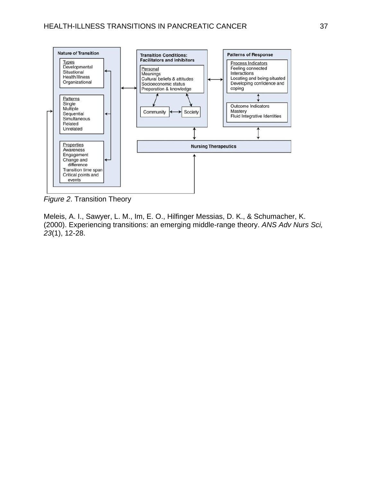

*Figure 2*. Transition Theory

Meleis, A. I., Sawyer, L. M., Im, E. O., Hilfinger Messias, D. K., & Schumacher, K. (2000). Experiencing transitions: an emerging middle-range theory. *ANS Adv Nurs Sci, 23*(1), 12-28.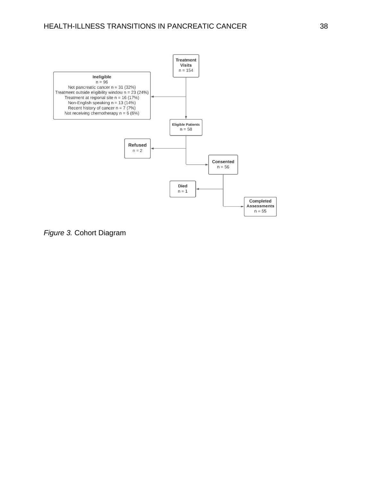

*Figure 3.* Cohort Diagram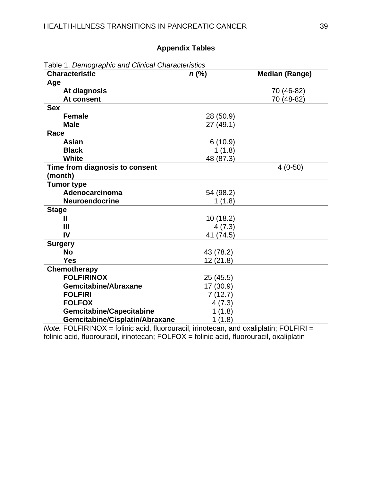# **Appendix Tables**

| <b>Characteristic</b>           | $n$ (%)   | <b>Median (Range)</b> |
|---------------------------------|-----------|-----------------------|
| Age                             |           |                       |
| At diagnosis                    |           | 70 (46-82)            |
| At consent                      |           | 70 (48-82)            |
| <b>Sex</b>                      |           |                       |
| <b>Female</b>                   | 28 (50.9) |                       |
| <b>Male</b>                     | 27 (49.1) |                       |
| Race                            |           |                       |
| Asian                           | 6(10.9)   |                       |
| <b>Black</b>                    | 1(1.8)    |                       |
| <b>White</b>                    | 48 (87.3) |                       |
| Time from diagnosis to consent  |           | $4(0-50)$             |
| (month)                         |           |                       |
| <b>Tumor type</b>               |           |                       |
| Adenocarcinoma                  | 54 (98.2) |                       |
| Neuroendocrine                  | 1(1.8)    |                       |
| <b>Stage</b>                    |           |                       |
| Ш                               | 10(18.2)  |                       |
| Ш                               | 4(7.3)    |                       |
| IV                              | 41 (74.5) |                       |
| <b>Surgery</b>                  |           |                       |
| <b>No</b>                       | 43 (78.2) |                       |
| <b>Yes</b>                      | 12(21.8)  |                       |
| Chemotherapy                    |           |                       |
| <b>FOLFIRINOX</b>               | 25(45.5)  |                       |
| <b>Gemcitabine/Abraxane</b>     | 17 (30.9) |                       |
| <b>FOLFIRI</b>                  | 7(12.7)   |                       |
| <b>FOLFOX</b>                   | 4(7.3)    |                       |
| <b>Gemcitabine/Capecitabine</b> | 1(1.8)    |                       |
| Gemcitabine/Cisplatin/Abraxane  | 1(1.8)    |                       |

*Note.* FOLFIRINOX = folinic acid, fluorouracil, irinotecan, and oxaliplatin; FOLFIRI = folinic acid, fluorouracil, irinotecan; FOLFOX = folinic acid, fluorouracil, oxaliplatin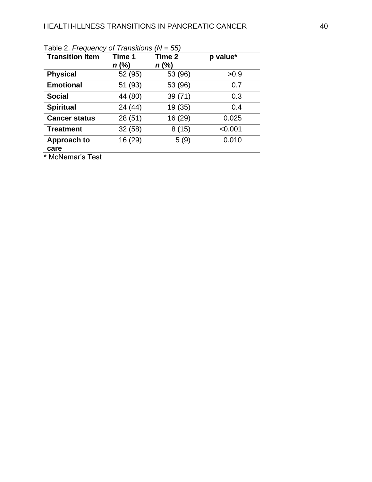| <b>Transition Item</b> | Time 1<br>$n$ (%) | Time 2<br>$n$ (%) | p value* |
|------------------------|-------------------|-------------------|----------|
| <b>Physical</b>        | 52 (95)           | 53 (96)           | >0.9     |
| <b>Emotional</b>       | 51 (93)           | 53 (96)           | 0.7      |
| <b>Social</b>          | 44 (80)           | 39(71)            | 0.3      |
| <b>Spiritual</b>       | 24 (44)           | 19 (35)           | 0.4      |
| <b>Cancer status</b>   | 28 (51)           | 16 (29)           | 0.025    |
| <b>Treatment</b>       | 32(58)            | 8(15)             | < 0.001  |
| Approach to<br>care    | 16 (29)           | 5(9)              | 0.010    |

| Table 2. Frequency of Transitions ( $N = 55$ ) |  |  |  |  |  |
|------------------------------------------------|--|--|--|--|--|
|------------------------------------------------|--|--|--|--|--|

\* McNemar's Test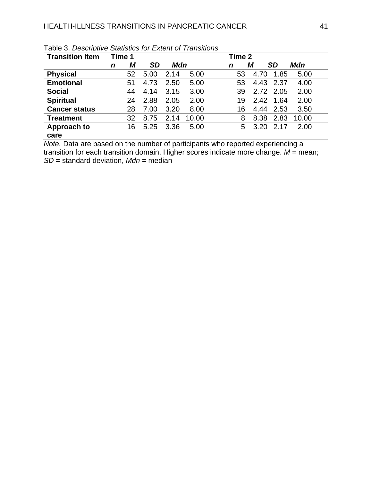| <b>Transition Item</b> | Time 1 |    |           |      |       | Time 2 |      |           |       |
|------------------------|--------|----|-----------|------|-------|--------|------|-----------|-------|
|                        | n      | М  | <b>SD</b> | Mdn  |       | n      | М    | <b>SD</b> | Mdn   |
| <b>Physical</b>        |        | 52 | 5.00      | 2.14 | 5.00  | 53     | 4.70 | 1.85      | 5.00  |
| <b>Emotional</b>       |        | 51 | 4.73      | 2.50 | 5.00  | 53     | 4.43 | 2.37      | 4.00  |
| <b>Social</b>          |        | 44 | 4.14      | 3.15 | 3.00  | 39     | 2.72 | 2.05      | 2.00  |
| <b>Spiritual</b>       |        | 24 | 2.88      | 2.05 | 2.00  | 19     | 2.42 | 1.64      | 2.00  |
| <b>Cancer status</b>   |        | 28 | 7.00      | 3.20 | 8.00  | 16     | 4.44 | 2.53      | 3.50  |
| <b>Treatment</b>       |        | 32 | 8.75      | 2.14 | 10.00 | 8      | 8.38 | 2.83      | 10.00 |
| Approach to            |        | 16 | 5.25      | 3.36 | 5.00  | 5      | 3.20 | 2.17      | 2.00  |
| care                   |        |    |           |      |       |        |      |           |       |

Table 3. *Descriptive Statistics for Extent of Transitions*

*Note.* Data are based on the number of participants who reported experiencing a transition for each transition domain. Higher scores indicate more change.  $M =$  mean; *SD* = standard deviation, *Mdn* = median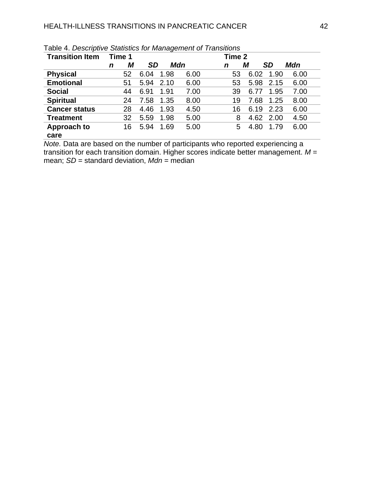| <b>Transition Item</b> |   | Time 1 |           | Time 2 |      |    |      |           |      |
|------------------------|---|--------|-----------|--------|------|----|------|-----------|------|
|                        | n | М      | <b>SD</b> |        | Mdn  | n  | М    | <b>SD</b> | Mdn  |
| <b>Physical</b>        |   | 52     | 6.04      | 1.98   | 6.00 | 53 | 6.02 | 1.90      | 6.00 |
| <b>Emotional</b>       |   | 51     | 5.94      | 2.10   | 6.00 | 53 | 5.98 | 2.15      | 6.00 |
| <b>Social</b>          |   | 44     | 6.91      | 1.91   | 7.00 | 39 | 6.77 | 1.95      | 7.00 |
| <b>Spiritual</b>       |   | 24     | 7.58      | 1.35   | 8.00 | 19 | 7.68 | 1.25      | 8.00 |
| <b>Cancer status</b>   |   | 28     | 4.46      | 1.93   | 4.50 | 16 | 6.19 | 2.23      | 6.00 |
| <b>Treatment</b>       |   | 32     | 5.59      | 1.98   | 5.00 | 8  |      | 4.62 2.00 | 4.50 |
| Approach to            |   | 16     | 5.94      | 1.69   | 5.00 | 5  | 4.80 | 1.79      | 6.00 |
| care                   |   |        |           |        |      |    |      |           |      |

Table 4. *Descriptive Statistics for Management of Transitions*

*Note.* Data are based on the number of participants who reported experiencing a transition for each transition domain. Higher scores indicate better management. *M* = mean; *SD* = standard deviation, *Mdn* = median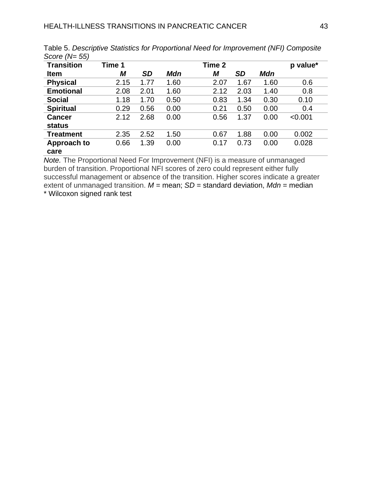| <b>Transition</b>              | Time 1 |           |      | Time 2 |           |      | p value* |
|--------------------------------|--------|-----------|------|--------|-----------|------|----------|
| <b>Item</b>                    | М      | <b>SD</b> | Mdn  | М      | <b>SD</b> | Mdn  |          |
| <b>Physical</b>                | 2.15   | 1.77      | 1.60 | 2.07   | 1.67      | 1.60 | 0.6      |
| <b>Emotional</b>               | 2.08   | 2.01      | 1.60 | 2.12   | 2.03      | 1.40 | 0.8      |
| <b>Social</b>                  | 1.18   | 1.70      | 0.50 | 0.83   | 1.34      | 0.30 | 0.10     |
| <b>Spiritual</b>               | 0.29   | 0.56      | 0.00 | 0.21   | 0.50      | 0.00 | 0.4      |
| <b>Cancer</b><br><b>status</b> | 2.12   | 2.68      | 0.00 | 0.56   | 1.37      | 0.00 | < 0.001  |
| <b>Treatment</b>               | 2.35   | 2.52      | 1.50 | 0.67   | 1.88      | 0.00 | 0.002    |
| <b>Approach to</b><br>care     | 0.66   | 1.39      | 0.00 | 0.17   | 0.73      | 0.00 | 0.028    |

Table 5. *Descriptive Statistics for Proportional Need for Improvement (NFI) Composite Score (N= 55)*

*Note.* The Proportional Need For Improvement (NFI) is a measure of unmanaged burden of transition. Proportional NFI scores of zero could represent either fully successful management or absence of the transition. Higher scores indicate a greater extent of unmanaged transition.  $M$  = mean;  $SD$  = standard deviation,  $Mdn$  = median \* Wilcoxon signed rank test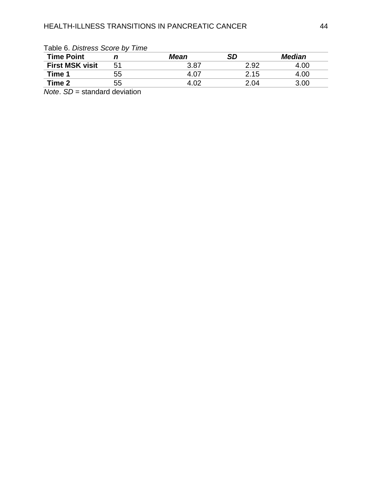| <b>Lable 0. Districts Occile by Time</b> |    |             |      |               |  |  |  |
|------------------------------------------|----|-------------|------|---------------|--|--|--|
| <b>Time Point</b>                        |    | <b>Mean</b> | SD   | <b>Median</b> |  |  |  |
| <b>First MSK visit</b>                   | 51 | 3.87        | 2.92 | 4.00          |  |  |  |
| Time 1                                   | 55 | 4 O7        | 2.15 | 4.00          |  |  |  |
| Time 2                                   | 55 | 4.02        | 2.04 | 3.00          |  |  |  |
|                                          |    |             |      |               |  |  |  |

Table 6. *Distress Score by Time*

*Note. SD* = standard deviation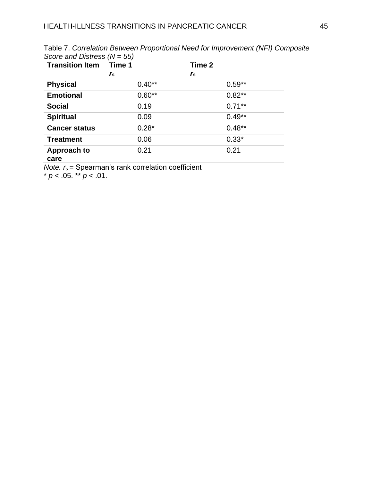| <b>Transition Item</b> | Time 1         | Time 2    |
|------------------------|----------------|-----------|
|                        | r <sub>s</sub> | rs        |
| <b>Physical</b>        | $0.40**$       | $0.59**$  |
| <b>Emotional</b>       | $0.60**$       | $0.82**$  |
| <b>Social</b>          | 0.19           | $0.71***$ |
| <b>Spiritual</b>       | 0.09           | $0.49**$  |
| <b>Cancer status</b>   | $0.28*$        | $0.48**$  |
| <b>Treatment</b>       | 0.06           | $0.33*$   |
| Approach to            | 0.21           | 0.21      |
| care                   |                |           |

Table 7. *Correlation Between Proportional Need for Improvement (NFI) Composite Score and Distress (N = 55)*

*Note. r<sub>s</sub>* = Spearman's rank correlation coefficient

\*  $p < .05$ . \*\*  $p < .01$ .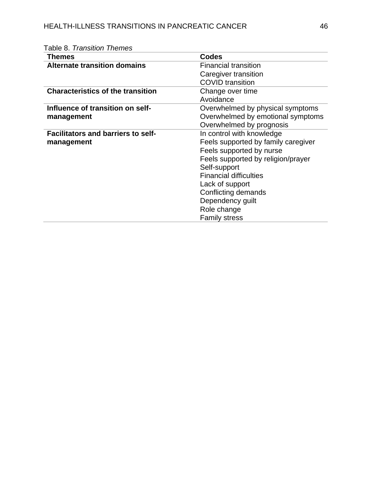| Themes                                    | <b>Codes</b>                        |
|-------------------------------------------|-------------------------------------|
| <b>Alternate transition domains</b>       | <b>Financial transition</b>         |
|                                           | Caregiver transition                |
|                                           | <b>COVID</b> transition             |
| <b>Characteristics of the transition</b>  | Change over time                    |
|                                           | Avoidance                           |
| Influence of transition on self-          | Overwhelmed by physical symptoms    |
| management                                | Overwhelmed by emotional symptoms   |
|                                           | Overwhelmed by prognosis            |
| <b>Facilitators and barriers to self-</b> | In control with knowledge           |
| management                                | Feels supported by family caregiver |
|                                           | Feels supported by nurse            |
|                                           | Feels supported by religion/prayer  |
|                                           | Self-support                        |
|                                           | <b>Financial difficulties</b>       |
|                                           | Lack of support                     |
|                                           | Conflicting demands                 |
|                                           | Dependency guilt                    |
|                                           | Role change                         |
|                                           | <b>Family stress</b>                |

# Table 8. *Transition Themes*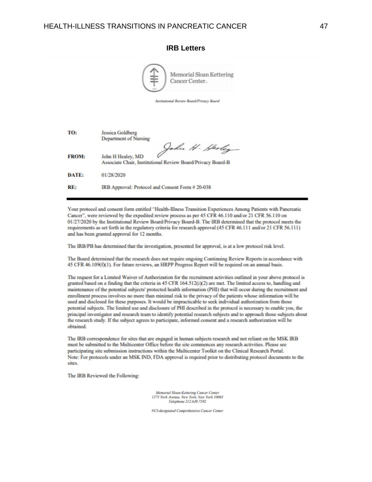|              | Memorial Sloan Kettering<br>Cancer Center                                                          |
|--------------|----------------------------------------------------------------------------------------------------|
|              | Institutional Review Board/Privacy Board                                                           |
|              |                                                                                                    |
| TO:          | Jessica Goldberg<br><b>Department of Nursing</b>                                                   |
| <b>FROM:</b> | John H. Heoley<br>John H Healey, MD<br>Associate Chair, Institutional Review Board/Privacy Board-B |
| DATE:        | 01/28/2020                                                                                         |
| RE:          | IRB Approval: Protocol and Consent Form # 20-038                                                   |

**IRB Letters**

Your protocol and consent form entitled "Health-Illness Transition Experiences Among Patients with Pancreatic Cancer", were reviewed by the expedited review process as per 45 CFR 46.110 and/or 21 CFR 56.110 on 01/27/2020 by the Institutional Review Board/Privacy Board-B. The IRB determined that the protocol meets the requirements as set forth in the regulatory criteria for research approval (45 CFR 46.111 and/or 21 CFR 56.111) and has been granted approval for 12 months.

The IRB/PB has determined that the investigation, presented for approval, is at a low protocol risk level.

The Board determined that the research does not require ongoing Continuing Review Reports in accordance with 45 CFR 46.109(f)(1). For future reviews, an HRPP Progress Report will be required on an annual basis.

The request for a Limited Waiver of Authorization for the recruitment activities outlined in your above protocol is granted based on a finding that the criteria in 45 CFR 164.512(i)(2) are met. The limited access to, handling and maintenance of the potential subjects' protected health information (PHI) that will occur during the recruitment and enrollment process involves no more than minimal risk to the privacy of the patients whose information will be used and disclosed for these purposes. It would be impracticable to seek individual authorization from those potential subjects. The limited use and disclosure of PHI described in the protocol is necessary to enable you, the principal investigator and research team to identify potential research subjects and to approach those subjects about the research study. If the subject agrees to participate, informed consent and a research authorization will be obtained.

The IRB correspondence for sites that are engaged in human subjects research and not reliant on the MSK IRB must be submitted to the Multicenter Office before the site commences any research activities. Please see participating site submission instructions within the Multicenter Toolkit on the Clinical Research Portal. Note: For protocols under an MSK IND, FDA approval is required prior to distributing protocol documents to the sites.

The IRB Reviewed the Following:

Memorial Sloan-Kettering Cancer Center<br>1275 York Avenue, New York, New York 10065 Telephone 212.639.7592

NCI-designated Comprehensive Cancer Center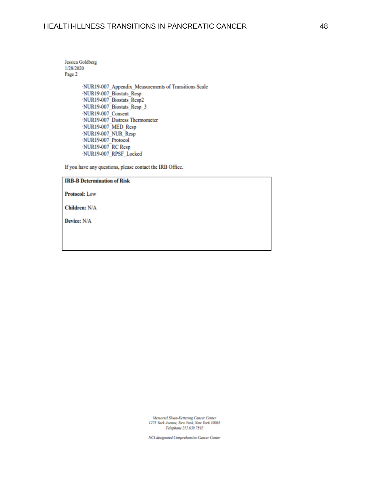Jessica Goldberg 1/28/2020 Page 2

> ·NUR19-007\_Appendix\_Measurements of Transitions Scale ·NUR19-007 Biostats Resp ·NUR19-007\_Biostats\_Resp2 ·NUR19-007 Biostats Resp 3 NUR19-007 Consent ·NUR19-007 Distress Thermometer NUR19-007 MED Resp NUR19-007 NUR Resp ·NUR19-007 Protocol NUR19-007 RC Resp NUR19-007 RPSF Locked

If you have any questions, please contact the IRB Office.

### **IRB-B Determination of Risk**

#### **Protocol:** Low

Children: N/A

Device: N/A

Memorial Sloan-Kettering Cancer Center 1275 York Avenue, New York, New York 10065 Telephone 212.639.7592

NCI-designated Comprehensive Cancer Center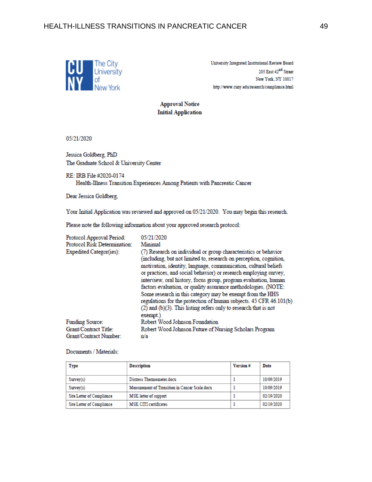

University Integrated Institutional Review Board 205 East 42<sup>nd</sup> Street New York, NY 10017 http://www.cuny.edu/research/compliance.html

**Approval Notice Initial Application** 

05/21/2020

Jessica Goldberg, PhD The Graduate School & University Center

RE: IRB File #2020-0174 Health-Illness Transition Experiences Among Patients with Pancreatic Cancer

Dear Jessica Goldberg,

Your Initial Application was reviewed and approved on 05/21/2020. You may begin this research.

Please note the following information about your approved research protocol:

| Protocol Approval Period:    | 05/21/2020                                                                                                                                                                                                                                                                                                                                                                                                                                                                                                                                                                                                                                |
|------------------------------|-------------------------------------------------------------------------------------------------------------------------------------------------------------------------------------------------------------------------------------------------------------------------------------------------------------------------------------------------------------------------------------------------------------------------------------------------------------------------------------------------------------------------------------------------------------------------------------------------------------------------------------------|
| Protocol Risk Determination: | Minimal                                                                                                                                                                                                                                                                                                                                                                                                                                                                                                                                                                                                                                   |
| Expedited Categor(ies):      | (7) Research on individual or group characteristics or behavior<br>(including, but not limited to, research on perception, cognition,<br>motivation, identity, language, communication, cultural beliefs<br>or practices, and social behavior) or research employing survey,<br>interview, oral history, focus group, program evaluation, human<br>factors evaluation, or quality assurance methodologies. (NOTE:<br>Some research in this category may be exempt from the HHS<br>regulations for the protection of human subjects. 45 CFR 46.101(b)<br>$(2)$ and $(b)(3)$ . This listing refers only to research that is not<br>exempt.) |
| Funding Source:              | Robert Wood Johnson Foundation                                                                                                                                                                                                                                                                                                                                                                                                                                                                                                                                                                                                            |
| Grant/Contract Title:        | Robert Wood Johnson Future of Nursing Scholars Program                                                                                                                                                                                                                                                                                                                                                                                                                                                                                                                                                                                    |
| Grant/Contract Number:       | n/a                                                                                                                                                                                                                                                                                                                                                                                                                                                                                                                                                                                                                                       |

Documents / Materials:

| Type                      | <b>Description</b>                             | Version# | Date       |
|---------------------------|------------------------------------------------|----------|------------|
| Survey(s)                 | Distress Thermometer.docx                      |          | 10/09/2019 |
| Survey(s)                 | Measurement of Transition in Cancer Scale.docx |          | 10/09/2019 |
| Site Letter of Compliance | MSK letter of support                          |          | 02/19/2020 |
| Site Letter of Compliance | <b>MSK CITI certificates</b>                   |          | 02/19/2020 |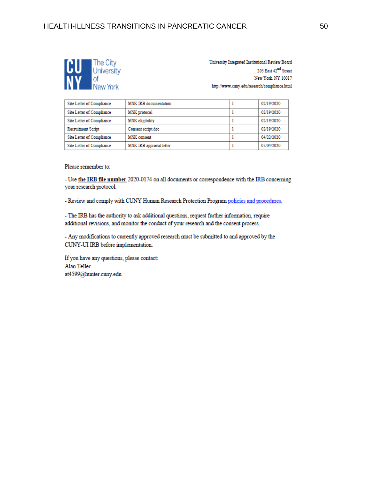

University Integrated Institutional Review Board 205 East 42<sup>nd</sup> Street New York, NY 10017 http://www.cuny.edu/research/compliance.html

| Site Letter of Compliance        | MSK IRB documentation   | 02/19/2020 |
|----------------------------------|-------------------------|------------|
| Site Letter of Compliance        | MSK protocol            | 02/19/2020 |
| <b>Site Letter of Compliance</b> | MSK eligibility         | 02/19/2020 |
| <b>Recruitment Script</b>        | Consent script.doc      | 02/19/2020 |
| <b>Site Letter of Compliance</b> | <b>MSK</b> consent      | 04/22/2020 |
| Site Letter of Compliance        | MSK IRB approval letter | 05/04/2020 |

Please remember to:

- Use the IRB file number 2020-0174 on all documents or correspondence with the IRB concerning your research protocol.

- Review and comply with CUNY Human Research Protection Program policies and procedures.

- The IRB has the authority to ask additional questions, request further information, require additional revisions, and monitor the conduct of your research and the consent process.

- Any modifications to currently approved research must be submitted to and approved by the CUNY-UI IRB before implementation.

If you have any questions, please contact: Alan Teller at4599@hunter.cuny.edu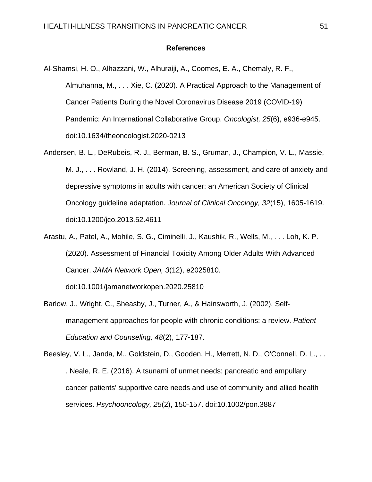### **References**

- Al-Shamsi, H. O., Alhazzani, W., Alhuraiji, A., Coomes, E. A., Chemaly, R. F., Almuhanna, M., . . . Xie, C. (2020). A Practical Approach to the Management of Cancer Patients During the Novel Coronavirus Disease 2019 (COVID-19) Pandemic: An International Collaborative Group. *Oncologist, 25*(6), e936-e945. doi:10.1634/theoncologist.2020-0213
- Andersen, B. L., DeRubeis, R. J., Berman, B. S., Gruman, J., Champion, V. L., Massie, M. J., . . . Rowland, J. H. (2014). Screening, assessment, and care of anxiety and depressive symptoms in adults with cancer: an American Society of Clinical Oncology guideline adaptation. *Journal of Clinical Oncology, 32*(15), 1605-1619. doi:10.1200/jco.2013.52.4611
- Arastu, A., Patel, A., Mohile, S. G., Ciminelli, J., Kaushik, R., Wells, M., . . . Loh, K. P. (2020). Assessment of Financial Toxicity Among Older Adults With Advanced Cancer. *JAMA Network Open, 3*(12), e2025810.

doi:10.1001/jamanetworkopen.2020.25810

Barlow, J., Wright, C., Sheasby, J., Turner, A., & Hainsworth, J. (2002). Selfmanagement approaches for people with chronic conditions: a review. *Patient Education and Counseling, 48*(2), 177-187.

Beesley, V. L., Janda, M., Goldstein, D., Gooden, H., Merrett, N. D., O'Connell, D. L., . . . Neale, R. E. (2016). A tsunami of unmet needs: pancreatic and ampullary cancer patients' supportive care needs and use of community and allied health services. *Psychooncology, 25*(2), 150-157. doi:10.1002/pon.3887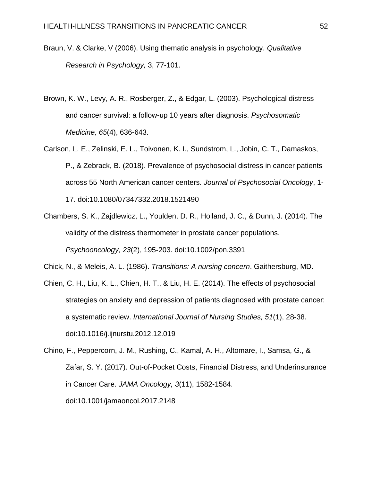- Braun, V. & Clarke, V (2006). Using thematic analysis in psychology. *Qualitative Research in Psychology,* 3, 77-101.
- Brown, K. W., Levy, A. R., Rosberger, Z., & Edgar, L. (2003). Psychological distress and cancer survival: a follow-up 10 years after diagnosis. *Psychosomatic Medicine, 65*(4), 636-643.
- Carlson, L. E., Zelinski, E. L., Toivonen, K. I., Sundstrom, L., Jobin, C. T., Damaskos, P., & Zebrack, B. (2018). Prevalence of psychosocial distress in cancer patients across 55 North American cancer centers. *Journal of Psychosocial Oncology*, 1- 17. doi:10.1080/07347332.2018.1521490
- Chambers, S. K., Zajdlewicz, L., Youlden, D. R., Holland, J. C., & Dunn, J. (2014). The validity of the distress thermometer in prostate cancer populations. *Psychooncology, 23*(2), 195-203. doi:10.1002/pon.3391

Chick, N., & Meleis, A. L. (1986). *Transitions: A nursing concern*. Gaithersburg, MD.

- Chien, C. H., Liu, K. L., Chien, H. T., & Liu, H. E. (2014). The effects of psychosocial strategies on anxiety and depression of patients diagnosed with prostate cancer: a systematic review. *International Journal of Nursing Studies, 51*(1), 28-38. doi:10.1016/j.ijnurstu.2012.12.019
- Chino, F., Peppercorn, J. M., Rushing, C., Kamal, A. H., Altomare, I., Samsa, G., & Zafar, S. Y. (2017). Out-of-Pocket Costs, Financial Distress, and Underinsurance in Cancer Care. *JAMA Oncology, 3*(11), 1582-1584. doi:10.1001/jamaoncol.2017.2148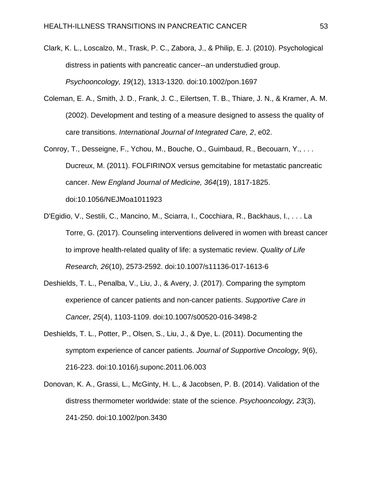- Clark, K. L., Loscalzo, M., Trask, P. C., Zabora, J., & Philip, E. J. (2010). Psychological distress in patients with pancreatic cancer--an understudied group. *Psychooncology, 19*(12), 1313-1320. doi:10.1002/pon.1697
- Coleman, E. A., Smith, J. D., Frank, J. C., Eilertsen, T. B., Thiare, J. N., & Kramer, A. M. (2002). Development and testing of a measure designed to assess the quality of care transitions. *International Journal of Integrated Care, 2*, e02.
- Conroy, T., Desseigne, F., Ychou, M., Bouche, O., Guimbaud, R., Becouarn, Y., . . . Ducreux, M. (2011). FOLFIRINOX versus gemcitabine for metastatic pancreatic cancer. *New England Journal of Medicine, 364*(19), 1817-1825. doi:10.1056/NEJMoa1011923
- D'Egidio, V., Sestili, C., Mancino, M., Sciarra, I., Cocchiara, R., Backhaus, I., . . . La Torre, G. (2017). Counseling interventions delivered in women with breast cancer to improve health-related quality of life: a systematic review. *Quality of Life Research, 26*(10), 2573-2592. doi:10.1007/s11136-017-1613-6
- Deshields, T. L., Penalba, V., Liu, J., & Avery, J. (2017). Comparing the symptom experience of cancer patients and non-cancer patients. *Supportive Care in Cancer, 25*(4), 1103-1109. doi:10.1007/s00520-016-3498-2
- Deshields, T. L., Potter, P., Olsen, S., Liu, J., & Dye, L. (2011). Documenting the symptom experience of cancer patients. *Journal of Supportive Oncology, 9*(6), 216-223. doi:10.1016/j.suponc.2011.06.003
- Donovan, K. A., Grassi, L., McGinty, H. L., & Jacobsen, P. B. (2014). Validation of the distress thermometer worldwide: state of the science. *Psychooncology, 23*(3), 241-250. doi:10.1002/pon.3430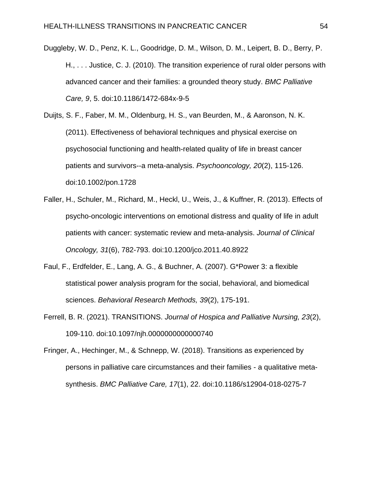Duggleby, W. D., Penz, K. L., Goodridge, D. M., Wilson, D. M., Leipert, B. D., Berry, P. H., . . . Justice, C. J. (2010). The transition experience of rural older persons with advanced cancer and their families: a grounded theory study. *BMC Palliative Care, 9*, 5. doi:10.1186/1472-684x-9-5

Duijts, S. F., Faber, M. M., Oldenburg, H. S., van Beurden, M., & Aaronson, N. K. (2011). Effectiveness of behavioral techniques and physical exercise on psychosocial functioning and health-related quality of life in breast cancer patients and survivors--a meta-analysis. *Psychooncology, 20*(2), 115-126. doi:10.1002/pon.1728

Faller, H., Schuler, M., Richard, M., Heckl, U., Weis, J., & Kuffner, R. (2013). Effects of psycho-oncologic interventions on emotional distress and quality of life in adult patients with cancer: systematic review and meta-analysis. *Journal of Clinical Oncology, 31*(6), 782-793. doi:10.1200/jco.2011.40.8922

- Faul, F., Erdfelder, E., Lang, A. G., & Buchner, A. (2007). G\*Power 3: a flexible statistical power analysis program for the social, behavioral, and biomedical sciences. *Behavioral Research Methods, 39*(2), 175-191.
- Ferrell, B. R. (2021). TRANSITIONS. *Journal of Hospica and Palliative Nursing, 23*(2), 109-110. doi:10.1097/njh.0000000000000740

Fringer, A., Hechinger, M., & Schnepp, W. (2018). Transitions as experienced by persons in palliative care circumstances and their families - a qualitative metasynthesis. *BMC Palliative Care, 17*(1), 22. doi:10.1186/s12904-018-0275-7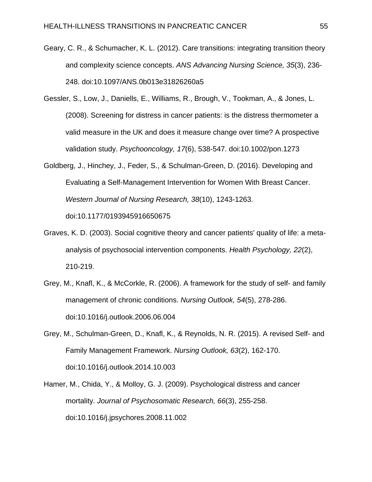- Geary, C. R., & Schumacher, K. L. (2012). Care transitions: integrating transition theory and complexity science concepts. *ANS Advancing Nursing Science, 35*(3), 236- 248. doi:10.1097/ANS.0b013e31826260a5
- Gessler, S., Low, J., Daniells, E., Williams, R., Brough, V., Tookman, A., & Jones, L. (2008). Screening for distress in cancer patients: is the distress thermometer a valid measure in the UK and does it measure change over time? A prospective validation study. *Psychooncology, 17*(6), 538-547. doi:10.1002/pon.1273
- Goldberg, J., Hinchey, J., Feder, S., & Schulman-Green, D. (2016). Developing and Evaluating a Self-Management Intervention for Women With Breast Cancer. *Western Journal of Nursing Research, 38*(10), 1243-1263. doi:10.1177/0193945916650675
- Graves, K. D. (2003). Social cognitive theory and cancer patients' quality of life: a metaanalysis of psychosocial intervention components. *Health Psychology, 22*(2), 210-219.
- Grey, M., Knafl, K., & McCorkle, R. (2006). A framework for the study of self- and family management of chronic conditions. *Nursing Outlook, 54*(5), 278-286. doi:10.1016/j.outlook.2006.06.004
- Grey, M., Schulman-Green, D., Knafl, K., & Reynolds, N. R. (2015). A revised Self- and Family Management Framework. *Nursing Outlook, 63*(2), 162-170. doi:10.1016/j.outlook.2014.10.003
- Hamer, M., Chida, Y., & Molloy, G. J. (2009). Psychological distress and cancer mortality. *Journal of Psychosomatic Research, 66*(3), 255-258. doi:10.1016/j.jpsychores.2008.11.002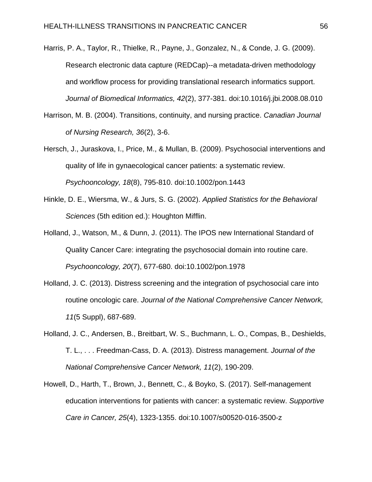- Harris, P. A., Taylor, R., Thielke, R., Payne, J., Gonzalez, N., & Conde, J. G. (2009). Research electronic data capture (REDCap)--a metadata-driven methodology and workflow process for providing translational research informatics support. *Journal of Biomedical Informatics, 42*(2), 377-381. doi:10.1016/j.jbi.2008.08.010
- Harrison, M. B. (2004). Transitions, continuity, and nursing practice. *Canadian Journal of Nursing Research, 36*(2), 3-6.
- Hersch, J., Juraskova, I., Price, M., & Mullan, B. (2009). Psychosocial interventions and quality of life in gynaecological cancer patients: a systematic review. *Psychooncology, 18*(8), 795-810. doi:10.1002/pon.1443
- Hinkle, D. E., Wiersma, W., & Jurs, S. G. (2002). *Applied Statistics for the Behavioral Sciences* (5th edition ed.): Houghton Mifflin.
- Holland, J., Watson, M., & Dunn, J. (2011). The IPOS new International Standard of Quality Cancer Care: integrating the psychosocial domain into routine care. *Psychooncology, 20*(7), 677-680. doi:10.1002/pon.1978
- Holland, J. C. (2013). Distress screening and the integration of psychosocial care into routine oncologic care. *Journal of the National Comprehensive Cancer Network, 11*(5 Suppl), 687-689.
- Holland, J. C., Andersen, B., Breitbart, W. S., Buchmann, L. O., Compas, B., Deshields, T. L., . . . Freedman-Cass, D. A. (2013). Distress management. *Journal of the National Comprehensive Cancer Network, 11*(2), 190-209.
- Howell, D., Harth, T., Brown, J., Bennett, C., & Boyko, S. (2017). Self-management education interventions for patients with cancer: a systematic review. *Supportive Care in Cancer, 25*(4), 1323-1355. doi:10.1007/s00520-016-3500-z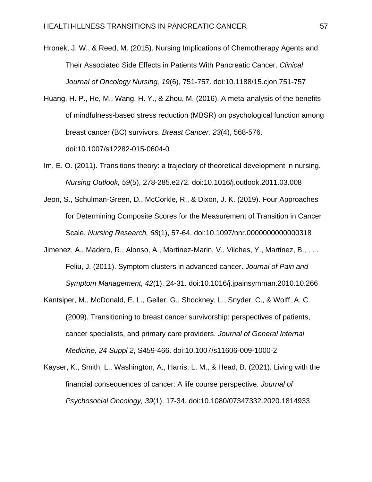- Hronek, J. W., & Reed, M. (2015). Nursing Implications of Chemotherapy Agents and Their Associated Side Effects in Patients With Pancreatic Cancer. *Clinical Journal of Oncology Nursing, 19*(6), 751-757. doi:10.1188/15.cjon.751-757
- Huang, H. P., He, M., Wang, H. Y., & Zhou, M. (2016). A meta-analysis of the benefits of mindfulness-based stress reduction (MBSR) on psychological function among breast cancer (BC) survivors. *Breast Cancer, 23*(4), 568-576. doi:10.1007/s12282-015-0604-0
- Im, E. O. (2011). Transitions theory: a trajectory of theoretical development in nursing. *Nursing Outlook, 59*(5), 278-285.e272. doi:10.1016/j.outlook.2011.03.008
- Jeon, S., Schulman-Green, D., McCorkle, R., & Dixon, J. K. (2019). Four Approaches for Determining Composite Scores for the Measurement of Transition in Cancer Scale. *Nursing Research, 68*(1), 57-64. doi:10.1097/nnr.0000000000000318
- Jimenez, A., Madero, R., Alonso, A., Martinez-Marin, V., Vilches, Y., Martinez, B., . . . Feliu, J. (2011). Symptom clusters in advanced cancer. *Journal of Pain and Symptom Management, 42*(1), 24-31. doi:10.1016/j.jpainsymman.2010.10.266
- Kantsiper, M., McDonald, E. L., Geller, G., Shockney, L., Snyder, C., & Wolff, A. C. (2009). Transitioning to breast cancer survivorship: perspectives of patients, cancer specialists, and primary care providers. *Journal of General Internal Medicine, 24 Suppl 2*, S459-466. doi:10.1007/s11606-009-1000-2
- Kayser, K., Smith, L., Washington, A., Harris, L. M., & Head, B. (2021). Living with the financial consequences of cancer: A life course perspective. *Journal of Psychosocial Oncology, 39*(1), 17-34. doi:10.1080/07347332.2020.1814933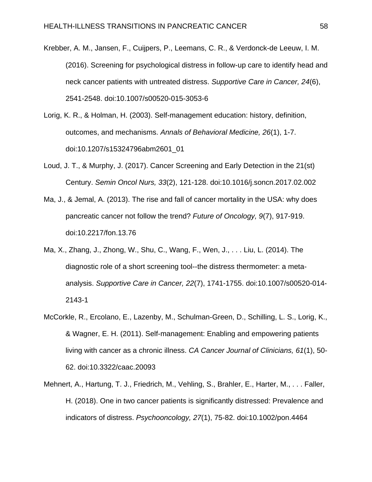Krebber, A. M., Jansen, F., Cuijpers, P., Leemans, C. R., & Verdonck-de Leeuw, I. M. (2016). Screening for psychological distress in follow-up care to identify head and neck cancer patients with untreated distress. *Supportive Care in Cancer, 24*(6), 2541-2548. doi:10.1007/s00520-015-3053-6

- Lorig, K. R., & Holman, H. (2003). Self-management education: history, definition, outcomes, and mechanisms. *Annals of Behavioral Medicine, 26*(1), 1-7. doi:10.1207/s15324796abm2601\_01
- Loud, J. T., & Murphy, J. (2017). Cancer Screening and Early Detection in the 21(st) Century. *Semin Oncol Nurs, 33*(2), 121-128. doi:10.1016/j.soncn.2017.02.002
- Ma, J., & Jemal, A. (2013). The rise and fall of cancer mortality in the USA: why does pancreatic cancer not follow the trend? *Future of Oncology, 9*(7), 917-919. doi:10.2217/fon.13.76
- Ma, X., Zhang, J., Zhong, W., Shu, C., Wang, F., Wen, J., . . . Liu, L. (2014). The diagnostic role of a short screening tool--the distress thermometer: a metaanalysis. *Supportive Care in Cancer, 22*(7), 1741-1755. doi:10.1007/s00520-014- 2143-1
- McCorkle, R., Ercolano, E., Lazenby, M., Schulman-Green, D., Schilling, L. S., Lorig, K., & Wagner, E. H. (2011). Self-management: Enabling and empowering patients living with cancer as a chronic illness. *CA Cancer Journal of Clinicians, 61*(1), 50- 62. doi:10.3322/caac.20093
- Mehnert, A., Hartung, T. J., Friedrich, M., Vehling, S., Brahler, E., Harter, M., . . . Faller, H. (2018). One in two cancer patients is significantly distressed: Prevalence and indicators of distress. *Psychooncology, 27*(1), 75-82. doi:10.1002/pon.4464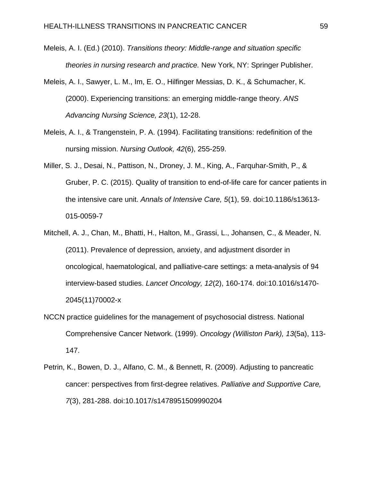- Meleis, A. I. (Ed.) (2010). *Transitions theory: Middle-range and situation specific theories in nursing research and practice.* New York, NY: Springer Publisher.
- Meleis, A. I., Sawyer, L. M., Im, E. O., Hilfinger Messias, D. K., & Schumacher, K. (2000). Experiencing transitions: an emerging middle-range theory. *ANS Advancing Nursing Science, 23*(1), 12-28.
- Meleis, A. I., & Trangenstein, P. A. (1994). Facilitating transitions: redefinition of the nursing mission. *Nursing Outlook, 42*(6), 255-259.
- Miller, S. J., Desai, N., Pattison, N., Droney, J. M., King, A., Farquhar-Smith, P., & Gruber, P. C. (2015). Quality of transition to end-of-life care for cancer patients in the intensive care unit. *Annals of Intensive Care, 5*(1), 59. doi:10.1186/s13613- 015-0059-7
- Mitchell, A. J., Chan, M., Bhatti, H., Halton, M., Grassi, L., Johansen, C., & Meader, N. (2011). Prevalence of depression, anxiety, and adjustment disorder in oncological, haematological, and palliative-care settings: a meta-analysis of 94 interview-based studies. *Lancet Oncology, 12*(2), 160-174. doi:10.1016/s1470- 2045(11)70002-x
- NCCN practice guidelines for the management of psychosocial distress. National Comprehensive Cancer Network. (1999). *Oncology (Williston Park), 13*(5a), 113- 147.
- Petrin, K., Bowen, D. J., Alfano, C. M., & Bennett, R. (2009). Adjusting to pancreatic cancer: perspectives from first-degree relatives. *Palliative and Supportive Care, 7*(3), 281-288. doi:10.1017/s1478951509990204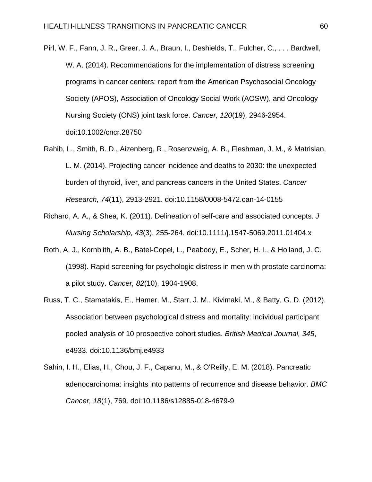- Pirl, W. F., Fann, J. R., Greer, J. A., Braun, I., Deshields, T., Fulcher, C., . . . Bardwell, W. A. (2014). Recommendations for the implementation of distress screening programs in cancer centers: report from the American Psychosocial Oncology Society (APOS), Association of Oncology Social Work (AOSW), and Oncology Nursing Society (ONS) joint task force. *Cancer, 120*(19), 2946-2954. doi:10.1002/cncr.28750
- Rahib, L., Smith, B. D., Aizenberg, R., Rosenzweig, A. B., Fleshman, J. M., & Matrisian, L. M. (2014). Projecting cancer incidence and deaths to 2030: the unexpected burden of thyroid, liver, and pancreas cancers in the United States. *Cancer Research, 74*(11), 2913-2921. doi:10.1158/0008-5472.can-14-0155
- Richard, A. A., & Shea, K. (2011). Delineation of self-care and associated concepts. *J Nursing Scholarship, 43*(3), 255-264. doi:10.1111/j.1547-5069.2011.01404.x
- Roth, A. J., Kornblith, A. B., Batel-Copel, L., Peabody, E., Scher, H. I., & Holland, J. C. (1998). Rapid screening for psychologic distress in men with prostate carcinoma: a pilot study. *Cancer, 82*(10), 1904-1908.
- Russ, T. C., Stamatakis, E., Hamer, M., Starr, J. M., Kivimaki, M., & Batty, G. D. (2012). Association between psychological distress and mortality: individual participant pooled analysis of 10 prospective cohort studies. *British Medical Journal, 345*, e4933. doi:10.1136/bmj.e4933
- Sahin, I. H., Elias, H., Chou, J. F., Capanu, M., & O'Reilly, E. M. (2018). Pancreatic adenocarcinoma: insights into patterns of recurrence and disease behavior. *BMC Cancer, 18*(1), 769. doi:10.1186/s12885-018-4679-9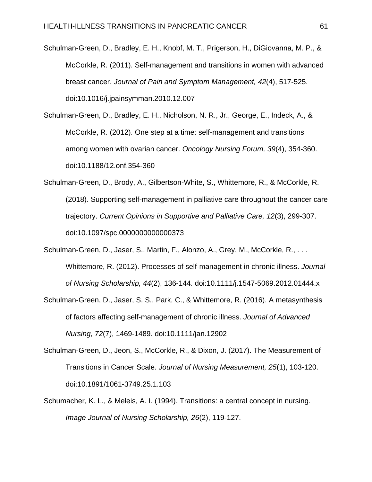Schulman-Green, D., Bradley, E. H., Knobf, M. T., Prigerson, H., DiGiovanna, M. P., & McCorkle, R. (2011). Self-management and transitions in women with advanced breast cancer. *Journal of Pain and Symptom Management, 42*(4), 517-525. doi:10.1016/j.jpainsymman.2010.12.007

Schulman-Green, D., Bradley, E. H., Nicholson, N. R., Jr., George, E., Indeck, A., & McCorkle, R. (2012). One step at a time: self-management and transitions among women with ovarian cancer. *Oncology Nursing Forum, 39*(4), 354-360. doi:10.1188/12.onf.354-360

Schulman-Green, D., Brody, A., Gilbertson-White, S., Whittemore, R., & McCorkle, R. (2018). Supporting self-management in palliative care throughout the cancer care trajectory. *Current Opinions in Supportive and Palliative Care, 12*(3), 299-307. doi:10.1097/spc.0000000000000373

Schulman-Green, D., Jaser, S., Martin, F., Alonzo, A., Grey, M., McCorkle, R., . . . Whittemore, R. (2012). Processes of self-management in chronic illness. *Journal of Nursing Scholarship, 44*(2), 136-144. doi:10.1111/j.1547-5069.2012.01444.x

Schulman-Green, D., Jaser, S. S., Park, C., & Whittemore, R. (2016). A metasynthesis of factors affecting self-management of chronic illness. *Journal of Advanced Nursing, 72*(7), 1469-1489. doi:10.1111/jan.12902

Schulman-Green, D., Jeon, S., McCorkle, R., & Dixon, J. (2017). The Measurement of Transitions in Cancer Scale. *Journal of Nursing Measurement, 25*(1), 103-120. doi:10.1891/1061-3749.25.1.103

Schumacher, K. L., & Meleis, A. I. (1994). Transitions: a central concept in nursing. *Image Journal of Nursing Scholarship, 26*(2), 119-127.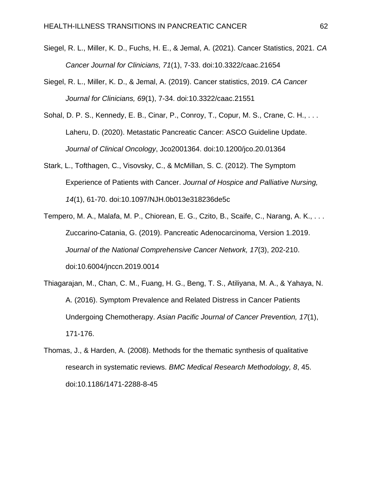- Siegel, R. L., Miller, K. D., Fuchs, H. E., & Jemal, A. (2021). Cancer Statistics, 2021. *CA Cancer Journal for Clinicians, 71*(1), 7-33. doi:10.3322/caac.21654
- Siegel, R. L., Miller, K. D., & Jemal, A. (2019). Cancer statistics, 2019. *CA Cancer Journal for Clinicians, 69*(1), 7-34. doi:10.3322/caac.21551
- Sohal, D. P. S., Kennedy, E. B., Cinar, P., Conroy, T., Copur, M. S., Crane, C. H., . . . Laheru, D. (2020). Metastatic Pancreatic Cancer: ASCO Guideline Update. *Journal of Clinical Oncology*, Jco2001364. doi:10.1200/jco.20.01364
- Stark, L., Tofthagen, C., Visovsky, C., & McMillan, S. C. (2012). The Symptom Experience of Patients with Cancer. *Journal of Hospice and Palliative Nursing, 14*(1), 61-70. doi:10.1097/NJH.0b013e318236de5c
- Tempero, M. A., Malafa, M. P., Chiorean, E. G., Czito, B., Scaife, C., Narang, A. K., . . . Zuccarino-Catania, G. (2019). Pancreatic Adenocarcinoma, Version 1.2019. *Journal of the National Comprehensive Cancer Network, 17*(3), 202-210. doi:10.6004/jnccn.2019.0014
- Thiagarajan, M., Chan, C. M., Fuang, H. G., Beng, T. S., Atiliyana, M. A., & Yahaya, N. A. (2016). Symptom Prevalence and Related Distress in Cancer Patients Undergoing Chemotherapy. *Asian Pacific Journal of Cancer Prevention, 17*(1), 171-176.
- Thomas, J., & Harden, A. (2008). Methods for the thematic synthesis of qualitative research in systematic reviews. *BMC Medical Research Methodology, 8*, 45. doi:10.1186/1471-2288-8-45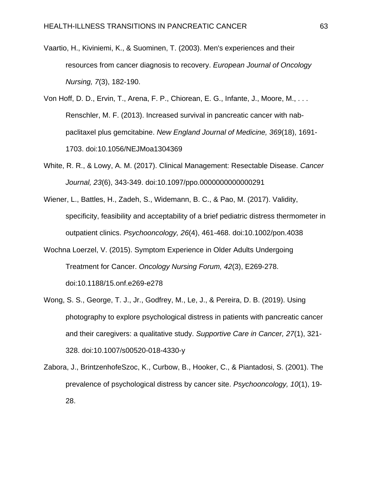- Vaartio, H., Kiviniemi, K., & Suominen, T. (2003). Men's experiences and their resources from cancer diagnosis to recovery. *European Journal of Oncology Nursing, 7*(3), 182-190.
- Von Hoff, D. D., Ervin, T., Arena, F. P., Chiorean, E. G., Infante, J., Moore, M., . . . Renschler, M. F. (2013). Increased survival in pancreatic cancer with nabpaclitaxel plus gemcitabine. *New England Journal of Medicine, 369*(18), 1691- 1703. doi:10.1056/NEJMoa1304369
- White, R. R., & Lowy, A. M. (2017). Clinical Management: Resectable Disease. *Cancer Journal, 23*(6), 343-349. doi:10.1097/ppo.0000000000000291
- Wiener, L., Battles, H., Zadeh, S., Widemann, B. C., & Pao, M. (2017). Validity, specificity, feasibility and acceptability of a brief pediatric distress thermometer in outpatient clinics. *Psychooncology, 26*(4), 461-468. doi:10.1002/pon.4038
- Wochna Loerzel, V. (2015). Symptom Experience in Older Adults Undergoing Treatment for Cancer. *Oncology Nursing Forum, 42*(3), E269-278. doi:10.1188/15.onf.e269-e278
- Wong, S. S., George, T. J., Jr., Godfrey, M., Le, J., & Pereira, D. B. (2019). Using photography to explore psychological distress in patients with pancreatic cancer and their caregivers: a qualitative study. *Supportive Care in Cancer, 27*(1), 321- 328. doi:10.1007/s00520-018-4330-y
- Zabora, J., BrintzenhofeSzoc, K., Curbow, B., Hooker, C., & Piantadosi, S. (2001). The prevalence of psychological distress by cancer site. *Psychooncology, 10*(1), 19- 28.